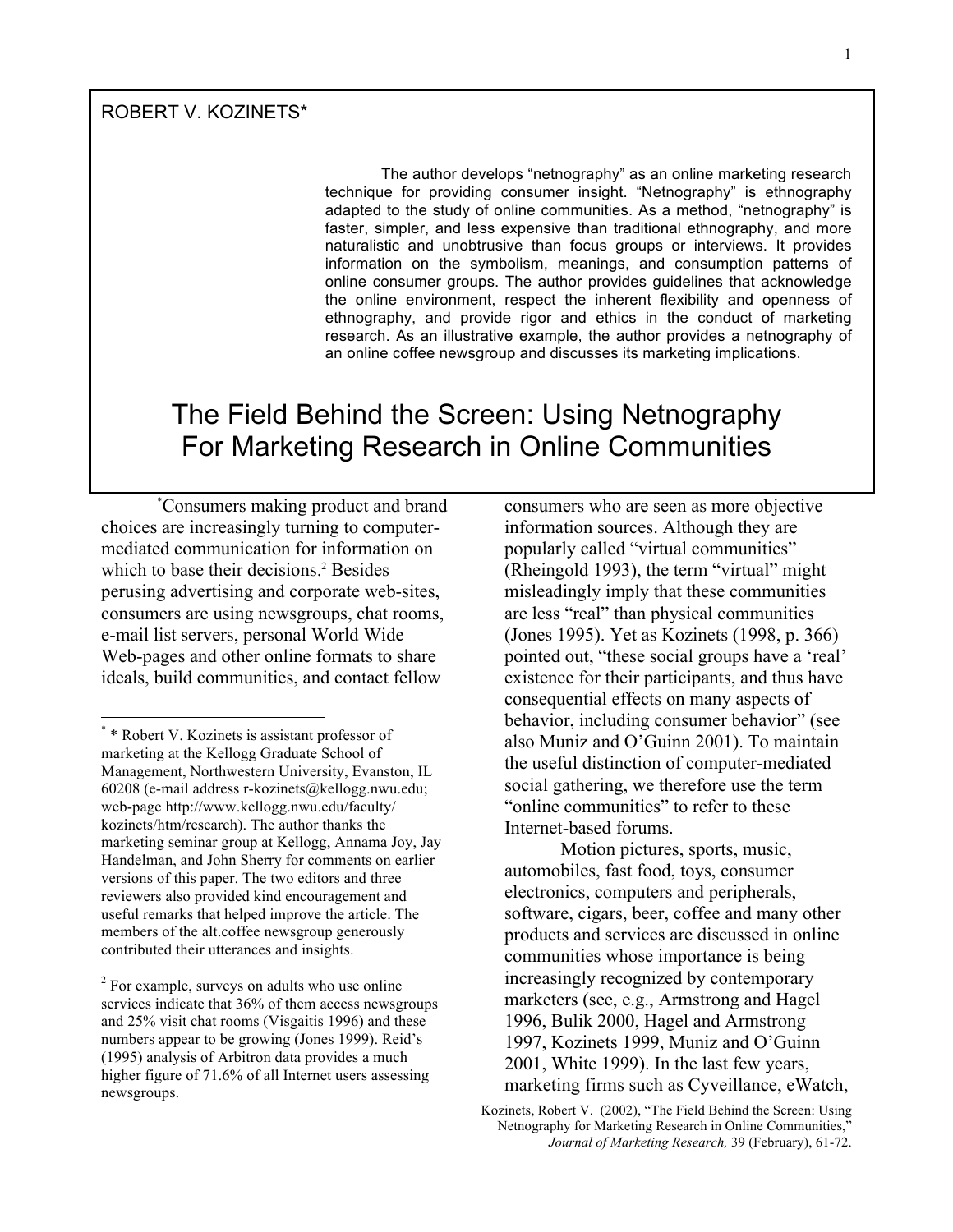# ROBERT V. KOZINETS\*

The author develops "netnography" as an online marketing research technique for providing consumer insight. "Netnography" is ethnography adapted to the study of online communities. As a method, "netnography" is faster, simpler, and less expensive than traditional ethnography, and more naturalistic and unobtrusive than focus groups or interviews. It provides information on the symbolism, meanings, and consumption patterns of online consumer groups. The author provides guidelines that acknowledge the online environment, respect the inherent flexibility and openness of ethnography, and provide rigor and ethics in the conduct of marketing research. As an illustrative example, the author provides a netnography of an online coffee newsgroup and discusses its marketing implications.

# The Field Behind the Screen: Using Netnography For Marketing Research in Online Communities

\* Consumers making product and brand choices are increasingly turning to computermediated communication for information on which to base their decisions.<sup>2</sup> Besides perusing advertising and corporate web-sites, consumers are using newsgroups, chat rooms, e-mail list servers, personal World Wide Web-pages and other online formats to share ideals, build communities, and contact fellow

consumers who are seen as more objective information sources. Although they are popularly called "virtual communities" (Rheingold 1993), the term "virtual" might misleadingly imply that these communities are less "real" than physical communities (Jones 1995). Yet as Kozinets (1998, p. 366) pointed out, "these social groups have a 'real' existence for their participants, and thus have consequential effects on many aspects of behavior, including consumer behavior" (see also Muniz and O'Guinn 2001). To maintain the useful distinction of computer-mediated social gathering, we therefore use the term "online communities" to refer to these Internet-based forums.

Motion pictures, sports, music, automobiles, fast food, toys, consumer electronics, computers and peripherals, software, cigars, beer, coffee and many other products and services are discussed in online communities whose importance is being increasingly recognized by contemporary marketers (see, e.g., Armstrong and Hagel 1996, Bulik 2000, Hagel and Armstrong 1997, Kozinets 1999, Muniz and O'Guinn 2001, White 1999). In the last few years, marketing firms such as Cyveillance, eWatch,

Kozinets, Robert V. (2002), "The Field Behind the Screen: Using Netnography for Marketing Research in Online Communities," *Journal of Marketing Research,* 39 (February), 61-72.

 <sup>\*</sup> \* Robert V. Kozinets is assistant professor of marketing at the Kellogg Graduate School of Management, Northwestern University, Evanston, IL 60208 (e-mail address r-kozinets@kellogg.nwu.edu; web-page http://www.kellogg.nwu.edu/faculty/ kozinets/htm/research). The author thanks the marketing seminar group at Kellogg, Annama Joy, Jay Handelman, and John Sherry for comments on earlier versions of this paper. The two editors and three reviewers also provided kind encouragement and useful remarks that helped improve the article. The members of the alt.coffee newsgroup generously contributed their utterances and insights.

 $2^2$  For example, surveys on adults who use online services indicate that 36% of them access newsgroups and 25% visit chat rooms (Visgaitis 1996) and these numbers appear to be growing (Jones 1999). Reid's (1995) analysis of Arbitron data provides a much higher figure of 71.6% of all Internet users assessing newsgroups.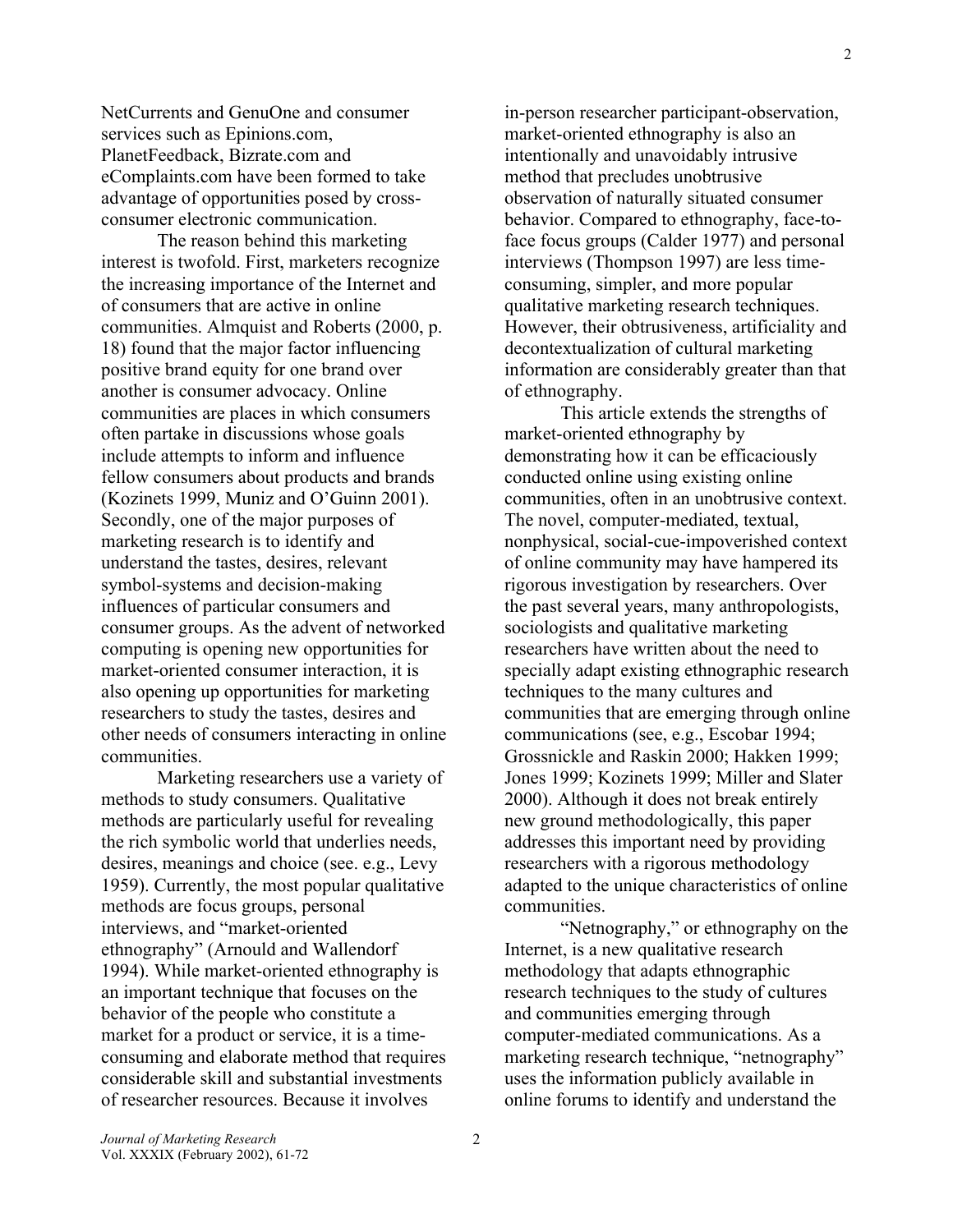NetCurrents and GenuOne and consumer services such as Epinions.com, PlanetFeedback, Bizrate.com and eComplaints.com have been formed to take advantage of opportunities posed by crossconsumer electronic communication.

The reason behind this marketing interest is twofold. First, marketers recognize the increasing importance of the Internet and of consumers that are active in online communities. Almquist and Roberts (2000, p. 18) found that the major factor influencing positive brand equity for one brand over another is consumer advocacy. Online communities are places in which consumers often partake in discussions whose goals include attempts to inform and influence fellow consumers about products and brands (Kozinets 1999, Muniz and O'Guinn 2001). Secondly, one of the major purposes of marketing research is to identify and understand the tastes, desires, relevant symbol-systems and decision-making influences of particular consumers and consumer groups. As the advent of networked computing is opening new opportunities for market-oriented consumer interaction, it is also opening up opportunities for marketing researchers to study the tastes, desires and other needs of consumers interacting in online communities.

Marketing researchers use a variety of methods to study consumers. Qualitative methods are particularly useful for revealing the rich symbolic world that underlies needs, desires, meanings and choice (see. e.g., Levy 1959). Currently, the most popular qualitative methods are focus groups, personal interviews, and "market-oriented ethnography" (Arnould and Wallendorf 1994). While market-oriented ethnography is an important technique that focuses on the behavior of the people who constitute a market for a product or service, it is a timeconsuming and elaborate method that requires considerable skill and substantial investments of researcher resources. Because it involves

in-person researcher participant-observation, market-oriented ethnography is also an intentionally and unavoidably intrusive method that precludes unobtrusive observation of naturally situated consumer behavior. Compared to ethnography, face-toface focus groups (Calder 1977) and personal interviews (Thompson 1997) are less timeconsuming, simpler, and more popular qualitative marketing research techniques. However, their obtrusiveness, artificiality and decontextualization of cultural marketing information are considerably greater than that of ethnography.

This article extends the strengths of market-oriented ethnography by demonstrating how it can be efficaciously conducted online using existing online communities, often in an unobtrusive context. The novel, computer-mediated, textual, nonphysical, social-cue-impoverished context of online community may have hampered its rigorous investigation by researchers. Over the past several years, many anthropologists, sociologists and qualitative marketing researchers have written about the need to specially adapt existing ethnographic research techniques to the many cultures and communities that are emerging through online communications (see, e.g., Escobar 1994; Grossnickle and Raskin 2000; Hakken 1999; Jones 1999; Kozinets 1999; Miller and Slater 2000). Although it does not break entirely new ground methodologically, this paper addresses this important need by providing researchers with a rigorous methodology adapted to the unique characteristics of online communities.

"Netnography," or ethnography on the Internet, is a new qualitative research methodology that adapts ethnographic research techniques to the study of cultures and communities emerging through computer-mediated communications. As a marketing research technique, "netnography" uses the information publicly available in online forums to identify and understand the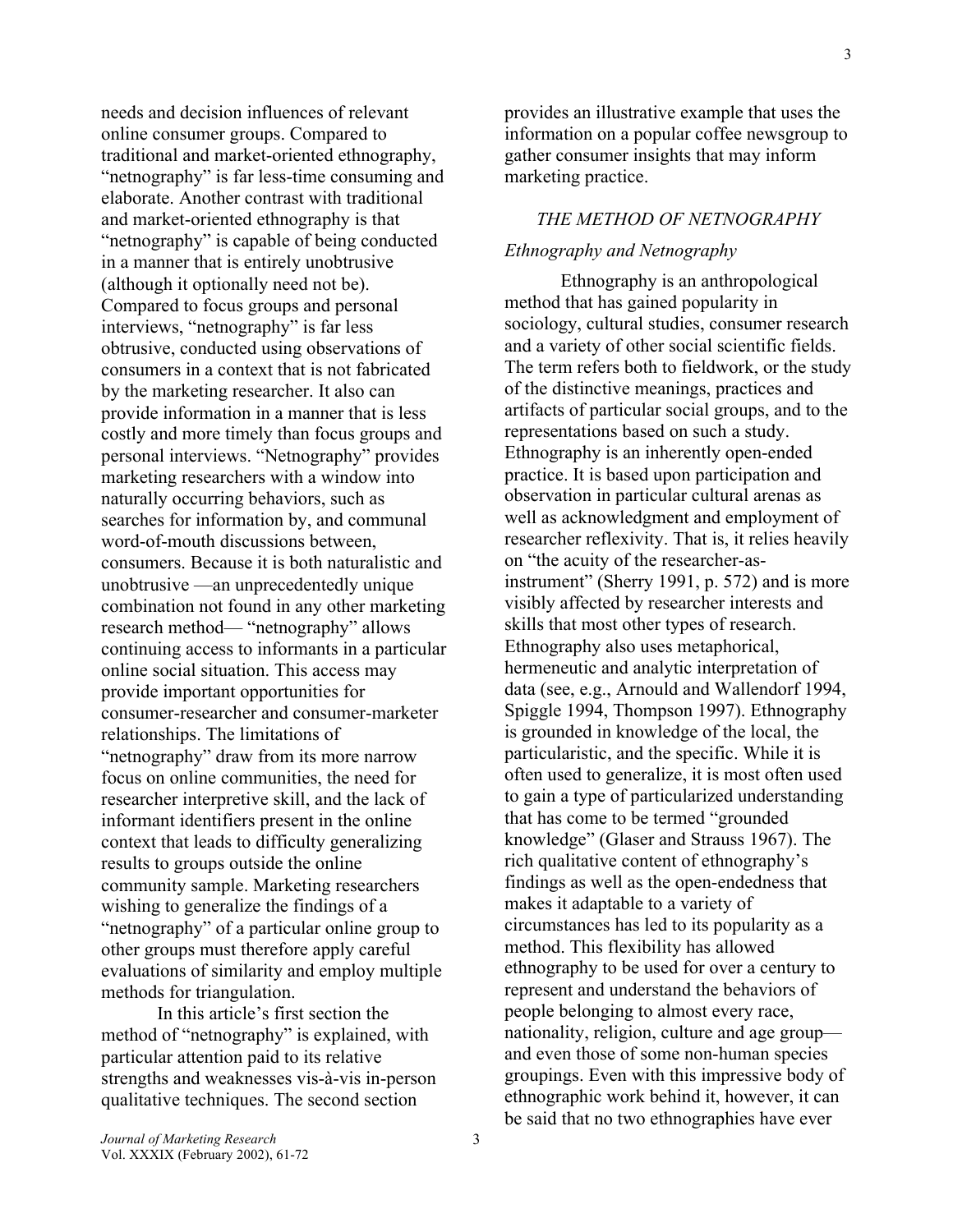needs and decision influences of relevant online consumer groups. Compared to traditional and market-oriented ethnography, "netnography" is far less-time consuming and elaborate. Another contrast with traditional and market-oriented ethnography is that "netnography" is capable of being conducted in a manner that is entirely unobtrusive (although it optionally need not be). Compared to focus groups and personal interviews, "netnography" is far less obtrusive, conducted using observations of consumers in a context that is not fabricated by the marketing researcher. It also can provide information in a manner that is less costly and more timely than focus groups and personal interviews. "Netnography" provides marketing researchers with a window into naturally occurring behaviors, such as searches for information by, and communal word-of-mouth discussions between, consumers. Because it is both naturalistic and unobtrusive —an unprecedentedly unique combination not found in any other marketing research method— "netnography" allows continuing access to informants in a particular online social situation. This access may provide important opportunities for consumer-researcher and consumer-marketer relationships. The limitations of "netnography" draw from its more narrow focus on online communities, the need for researcher interpretive skill, and the lack of informant identifiers present in the online context that leads to difficulty generalizing results to groups outside the online community sample. Marketing researchers wishing to generalize the findings of a "netnography" of a particular online group to other groups must therefore apply careful evaluations of similarity and employ multiple methods for triangulation.

In this article's first section the method of "netnography" is explained, with particular attention paid to its relative strengths and weaknesses vis-à-vis in-person qualitative techniques. The second section

provides an illustrative example that uses the information on a popular coffee newsgroup to gather consumer insights that may inform marketing practice.

## *THE METHOD OF NETNOGRAPHY*

## *Ethnography and Netnography*

Ethnography is an anthropological method that has gained popularity in sociology, cultural studies, consumer research and a variety of other social scientific fields. The term refers both to fieldwork, or the study of the distinctive meanings, practices and artifacts of particular social groups, and to the representations based on such a study. Ethnography is an inherently open-ended practice. It is based upon participation and observation in particular cultural arenas as well as acknowledgment and employment of researcher reflexivity. That is, it relies heavily on "the acuity of the researcher-asinstrument" (Sherry 1991, p. 572) and is more visibly affected by researcher interests and skills that most other types of research. Ethnography also uses metaphorical, hermeneutic and analytic interpretation of data (see, e.g., Arnould and Wallendorf 1994, Spiggle 1994, Thompson 1997). Ethnography is grounded in knowledge of the local, the particularistic, and the specific. While it is often used to generalize, it is most often used to gain a type of particularized understanding that has come to be termed "grounded knowledge" (Glaser and Strauss 1967). The rich qualitative content of ethnography's findings as well as the open-endedness that makes it adaptable to a variety of circumstances has led to its popularity as a method. This flexibility has allowed ethnography to be used for over a century to represent and understand the behaviors of people belonging to almost every race, nationality, religion, culture and age group and even those of some non-human species groupings. Even with this impressive body of ethnographic work behind it, however, it can be said that no two ethnographies have ever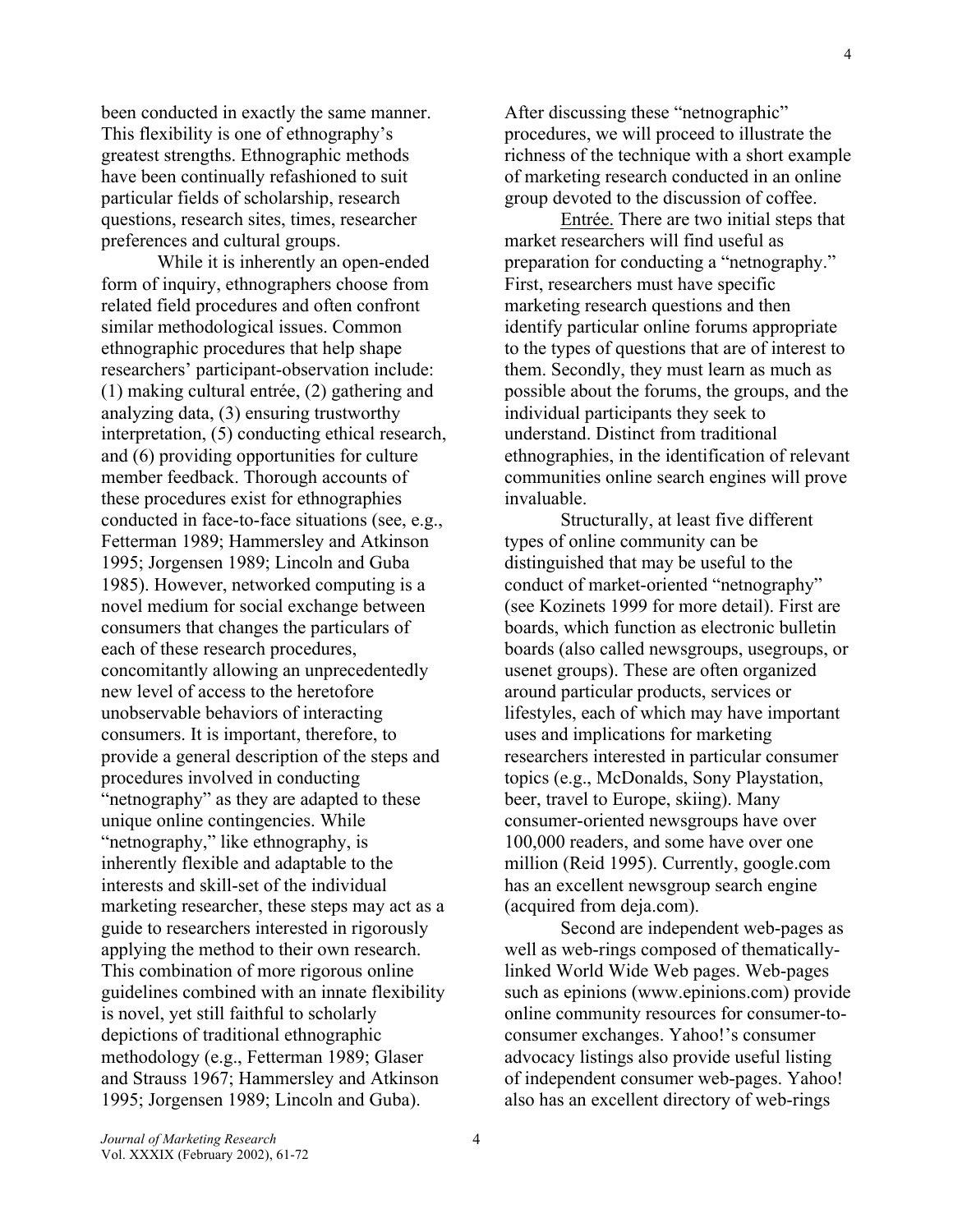been conducted in exactly the same manner. This flexibility is one of ethnography's greatest strengths. Ethnographic methods have been continually refashioned to suit particular fields of scholarship, research questions, research sites, times, researcher preferences and cultural groups.

While it is inherently an open-ended form of inquiry, ethnographers choose from related field procedures and often confront similar methodological issues. Common ethnographic procedures that help shape researchers' participant-observation include: (1) making cultural entrée, (2) gathering and analyzing data, (3) ensuring trustworthy interpretation, (5) conducting ethical research, and (6) providing opportunities for culture member feedback. Thorough accounts of these procedures exist for ethnographies conducted in face-to-face situations (see, e.g., Fetterman 1989; Hammersley and Atkinson 1995; Jorgensen 1989; Lincoln and Guba 1985). However, networked computing is a novel medium for social exchange between consumers that changes the particulars of each of these research procedures, concomitantly allowing an unprecedentedly new level of access to the heretofore unobservable behaviors of interacting consumers. It is important, therefore, to provide a general description of the steps and procedures involved in conducting "netnography" as they are adapted to these unique online contingencies. While "netnography," like ethnography, is inherently flexible and adaptable to the interests and skill-set of the individual marketing researcher, these steps may act as a guide to researchers interested in rigorously applying the method to their own research. This combination of more rigorous online guidelines combined with an innate flexibility is novel, yet still faithful to scholarly depictions of traditional ethnographic methodology (e.g., Fetterman 1989; Glaser and Strauss 1967; Hammersley and Atkinson 1995; Jorgensen 1989; Lincoln and Guba).

After discussing these "netnographic" procedures, we will proceed to illustrate the richness of the technique with a short example of marketing research conducted in an online group devoted to the discussion of coffee.

Entrée. There are two initial steps that market researchers will find useful as preparation for conducting a "netnography." First, researchers must have specific marketing research questions and then identify particular online forums appropriate to the types of questions that are of interest to them. Secondly, they must learn as much as possible about the forums, the groups, and the individual participants they seek to understand. Distinct from traditional ethnographies, in the identification of relevant communities online search engines will prove invaluable.

Structurally, at least five different types of online community can be distinguished that may be useful to the conduct of market-oriented "netnography" (see Kozinets 1999 for more detail). First are boards, which function as electronic bulletin boards (also called newsgroups, usegroups, or usenet groups). These are often organized around particular products, services or lifestyles, each of which may have important uses and implications for marketing researchers interested in particular consumer topics (e.g., McDonalds, Sony Playstation, beer, travel to Europe, skiing). Many consumer-oriented newsgroups have over 100,000 readers, and some have over one million (Reid 1995). Currently, google.com has an excellent newsgroup search engine (acquired from deja.com).

Second are independent web-pages as well as web-rings composed of thematicallylinked World Wide Web pages. Web-pages such as epinions (www.epinions.com) provide online community resources for consumer-toconsumer exchanges. Yahoo!'s consumer advocacy listings also provide useful listing of independent consumer web-pages. Yahoo! also has an excellent directory of web-rings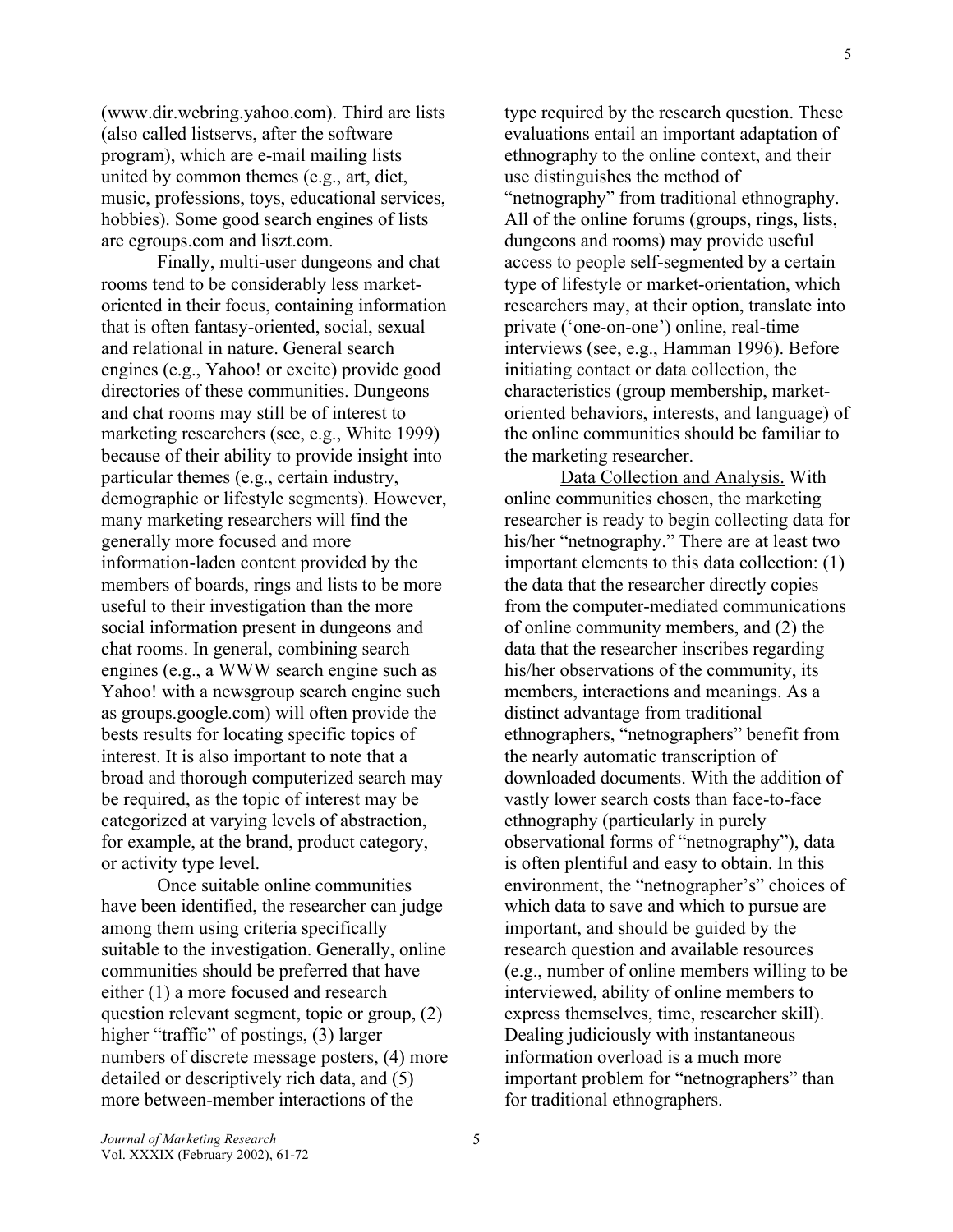(www.dir.webring.yahoo.com). Third are lists (also called listservs, after the software program), which are e-mail mailing lists united by common themes (e.g., art, diet, music, professions, toys, educational services, hobbies). Some good search engines of lists are egroups.com and liszt.com.

Finally, multi-user dungeons and chat rooms tend to be considerably less marketoriented in their focus, containing information that is often fantasy-oriented, social, sexual and relational in nature. General search engines (e.g., Yahoo! or excite) provide good directories of these communities. Dungeons and chat rooms may still be of interest to marketing researchers (see, e.g., White 1999) because of their ability to provide insight into particular themes (e.g., certain industry, demographic or lifestyle segments). However, many marketing researchers will find the generally more focused and more information-laden content provided by the members of boards, rings and lists to be more useful to their investigation than the more social information present in dungeons and chat rooms. In general, combining search engines (e.g., a WWW search engine such as Yahoo! with a newsgroup search engine such as groups.google.com) will often provide the bests results for locating specific topics of interest. It is also important to note that a broad and thorough computerized search may be required, as the topic of interest may be categorized at varying levels of abstraction, for example, at the brand, product category, or activity type level.

Once suitable online communities have been identified, the researcher can judge among them using criteria specifically suitable to the investigation. Generally, online communities should be preferred that have either (1) a more focused and research question relevant segment, topic or group, (2) higher "traffic" of postings, (3) larger numbers of discrete message posters, (4) more detailed or descriptively rich data, and (5) more between-member interactions of the

type required by the research question. These evaluations entail an important adaptation of ethnography to the online context, and their use distinguishes the method of "netnography" from traditional ethnography. All of the online forums (groups, rings, lists, dungeons and rooms) may provide useful access to people self-segmented by a certain type of lifestyle or market-orientation, which researchers may, at their option, translate into private ('one-on-one') online, real-time interviews (see, e.g., Hamman 1996). Before initiating contact or data collection, the characteristics (group membership, marketoriented behaviors, interests, and language) of the online communities should be familiar to the marketing researcher.

Data Collection and Analysis. With online communities chosen, the marketing researcher is ready to begin collecting data for his/her "netnography." There are at least two important elements to this data collection: (1) the data that the researcher directly copies from the computer-mediated communications of online community members, and (2) the data that the researcher inscribes regarding his/her observations of the community, its members, interactions and meanings. As a distinct advantage from traditional ethnographers, "netnographers" benefit from the nearly automatic transcription of downloaded documents. With the addition of vastly lower search costs than face-to-face ethnography (particularly in purely observational forms of "netnography"), data is often plentiful and easy to obtain. In this environment, the "netnographer's" choices of which data to save and which to pursue are important, and should be guided by the research question and available resources (e.g., number of online members willing to be interviewed, ability of online members to express themselves, time, researcher skill). Dealing judiciously with instantaneous information overload is a much more important problem for "netnographers" than for traditional ethnographers.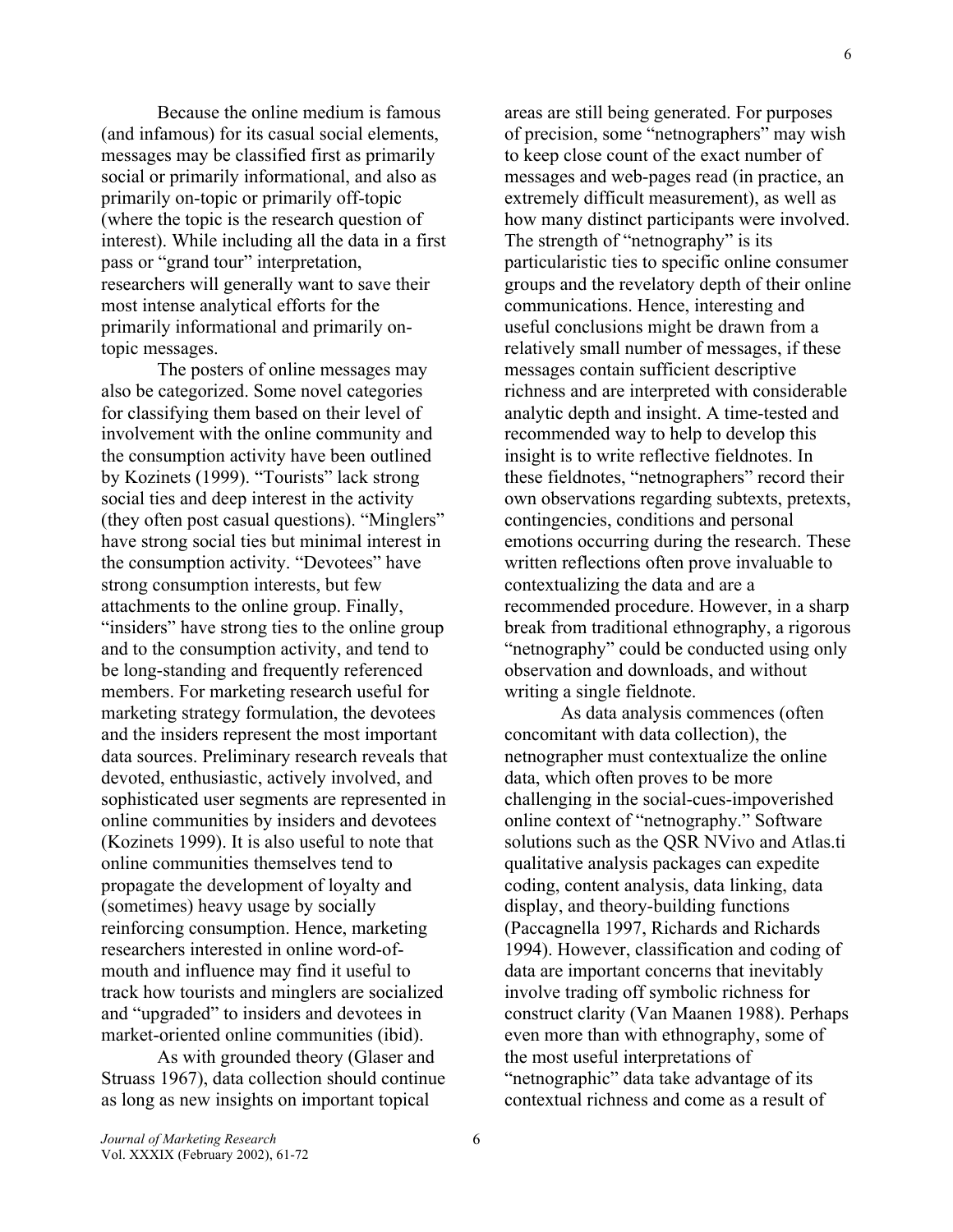Because the online medium is famous (and infamous) for its casual social elements, messages may be classified first as primarily social or primarily informational, and also as primarily on-topic or primarily off-topic (where the topic is the research question of interest). While including all the data in a first pass or "grand tour" interpretation, researchers will generally want to save their most intense analytical efforts for the primarily informational and primarily ontopic messages.

The posters of online messages may also be categorized. Some novel categories for classifying them based on their level of involvement with the online community and the consumption activity have been outlined by Kozinets (1999). "Tourists" lack strong social ties and deep interest in the activity (they often post casual questions). "Minglers" have strong social ties but minimal interest in the consumption activity. "Devotees" have strong consumption interests, but few attachments to the online group. Finally, "insiders" have strong ties to the online group and to the consumption activity, and tend to be long-standing and frequently referenced members. For marketing research useful for marketing strategy formulation, the devotees and the insiders represent the most important data sources. Preliminary research reveals that devoted, enthusiastic, actively involved, and sophisticated user segments are represented in online communities by insiders and devotees (Kozinets 1999). It is also useful to note that online communities themselves tend to propagate the development of loyalty and (sometimes) heavy usage by socially reinforcing consumption. Hence, marketing researchers interested in online word-ofmouth and influence may find it useful to track how tourists and minglers are socialized and "upgraded" to insiders and devotees in market-oriented online communities (ibid).

As with grounded theory (Glaser and Struass 1967), data collection should continue as long as new insights on important topical

areas are still being generated. For purposes of precision, some "netnographers" may wish to keep close count of the exact number of messages and web-pages read (in practice, an extremely difficult measurement), as well as how many distinct participants were involved. The strength of "netnography" is its particularistic ties to specific online consumer groups and the revelatory depth of their online communications. Hence, interesting and useful conclusions might be drawn from a relatively small number of messages, if these messages contain sufficient descriptive richness and are interpreted with considerable analytic depth and insight. A time-tested and recommended way to help to develop this insight is to write reflective fieldnotes. In these fieldnotes, "netnographers" record their own observations regarding subtexts, pretexts, contingencies, conditions and personal emotions occurring during the research. These written reflections often prove invaluable to contextualizing the data and are a recommended procedure. However, in a sharp break from traditional ethnography, a rigorous "netnography" could be conducted using only observation and downloads, and without writing a single fieldnote.

As data analysis commences (often concomitant with data collection), the netnographer must contextualize the online data, which often proves to be more challenging in the social-cues-impoverished online context of "netnography." Software solutions such as the QSR NVivo and Atlas.ti qualitative analysis packages can expedite coding, content analysis, data linking, data display, and theory-building functions (Paccagnella 1997, Richards and Richards 1994). However, classification and coding of data are important concerns that inevitably involve trading off symbolic richness for construct clarity (Van Maanen 1988). Perhaps even more than with ethnography, some of the most useful interpretations of "netnographic" data take advantage of its contextual richness and come as a result of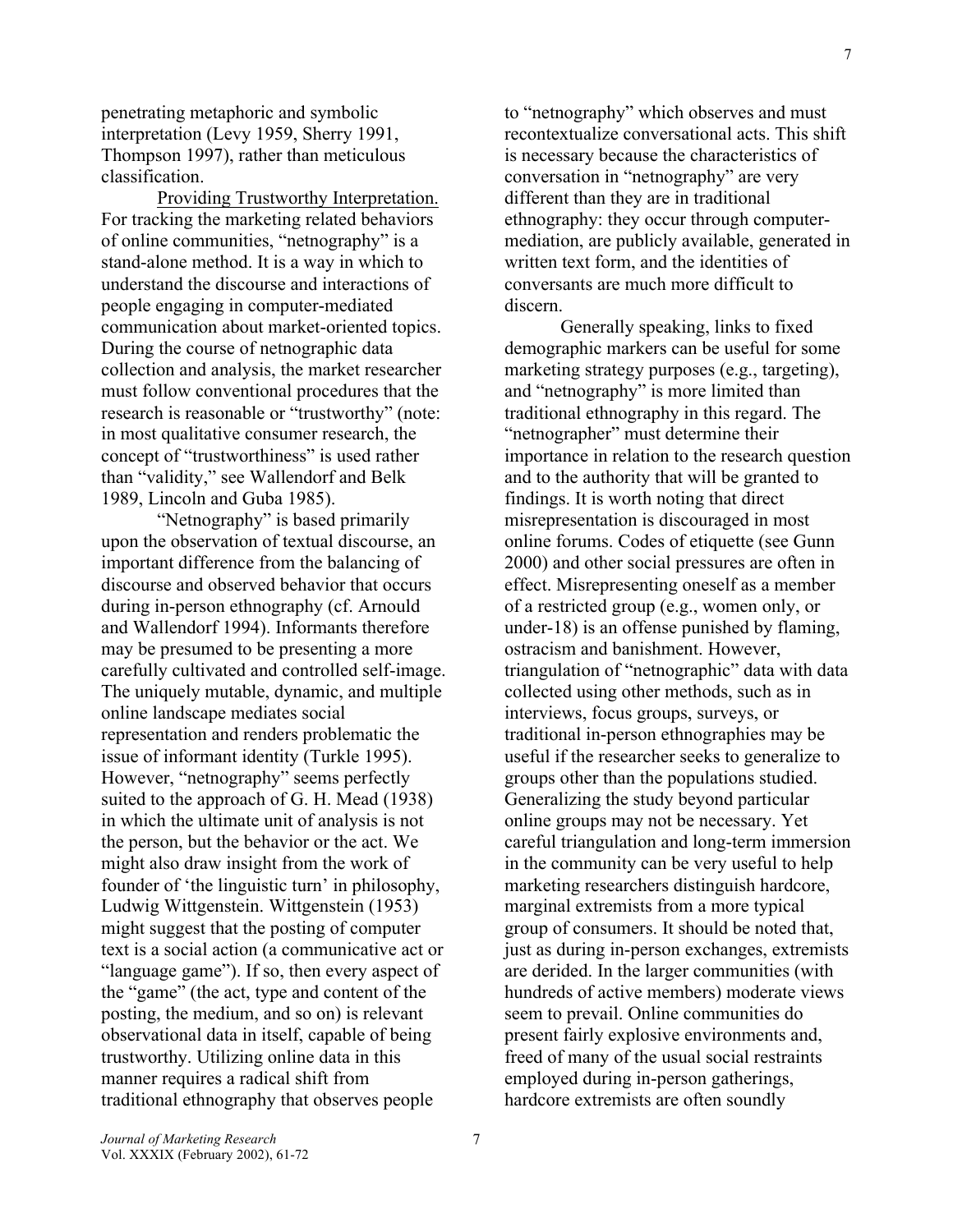penetrating metaphoric and symbolic interpretation (Levy 1959, Sherry 1991, Thompson 1997), rather than meticulous classification.

Providing Trustworthy Interpretation. For tracking the marketing related behaviors of online communities, "netnography" is a stand-alone method. It is a way in which to understand the discourse and interactions of people engaging in computer-mediated communication about market-oriented topics. During the course of netnographic data collection and analysis, the market researcher must follow conventional procedures that the research is reasonable or "trustworthy" (note: in most qualitative consumer research, the concept of "trustworthiness" is used rather than "validity," see Wallendorf and Belk 1989, Lincoln and Guba 1985).

"Netnography" is based primarily upon the observation of textual discourse, an important difference from the balancing of discourse and observed behavior that occurs during in-person ethnography (cf. Arnould and Wallendorf 1994). Informants therefore may be presumed to be presenting a more carefully cultivated and controlled self-image. The uniquely mutable, dynamic, and multiple online landscape mediates social representation and renders problematic the issue of informant identity (Turkle 1995). However, "netnography" seems perfectly suited to the approach of G. H. Mead (1938) in which the ultimate unit of analysis is not the person, but the behavior or the act. We might also draw insight from the work of founder of 'the linguistic turn' in philosophy, Ludwig Wittgenstein. Wittgenstein (1953) might suggest that the posting of computer text is a social action (a communicative act or "language game"). If so, then every aspect of the "game" (the act, type and content of the posting, the medium, and so on) is relevant observational data in itself, capable of being trustworthy. Utilizing online data in this manner requires a radical shift from traditional ethnography that observes people

to "netnography" which observes and must recontextualize conversational acts. This shift is necessary because the characteristics of conversation in "netnography" are very different than they are in traditional ethnography: they occur through computermediation, are publicly available, generated in written text form, and the identities of conversants are much more difficult to discern.

Generally speaking, links to fixed demographic markers can be useful for some marketing strategy purposes (e.g., targeting), and "netnography" is more limited than traditional ethnography in this regard. The "netnographer" must determine their importance in relation to the research question and to the authority that will be granted to findings. It is worth noting that direct misrepresentation is discouraged in most online forums. Codes of etiquette (see Gunn 2000) and other social pressures are often in effect. Misrepresenting oneself as a member of a restricted group (e.g., women only, or under-18) is an offense punished by flaming, ostracism and banishment. However, triangulation of "netnographic" data with data collected using other methods, such as in interviews, focus groups, surveys, or traditional in-person ethnographies may be useful if the researcher seeks to generalize to groups other than the populations studied. Generalizing the study beyond particular online groups may not be necessary. Yet careful triangulation and long-term immersion in the community can be very useful to help marketing researchers distinguish hardcore, marginal extremists from a more typical group of consumers. It should be noted that, just as during in-person exchanges, extremists are derided. In the larger communities (with hundreds of active members) moderate views seem to prevail. Online communities do present fairly explosive environments and, freed of many of the usual social restraints employed during in-person gatherings, hardcore extremists are often soundly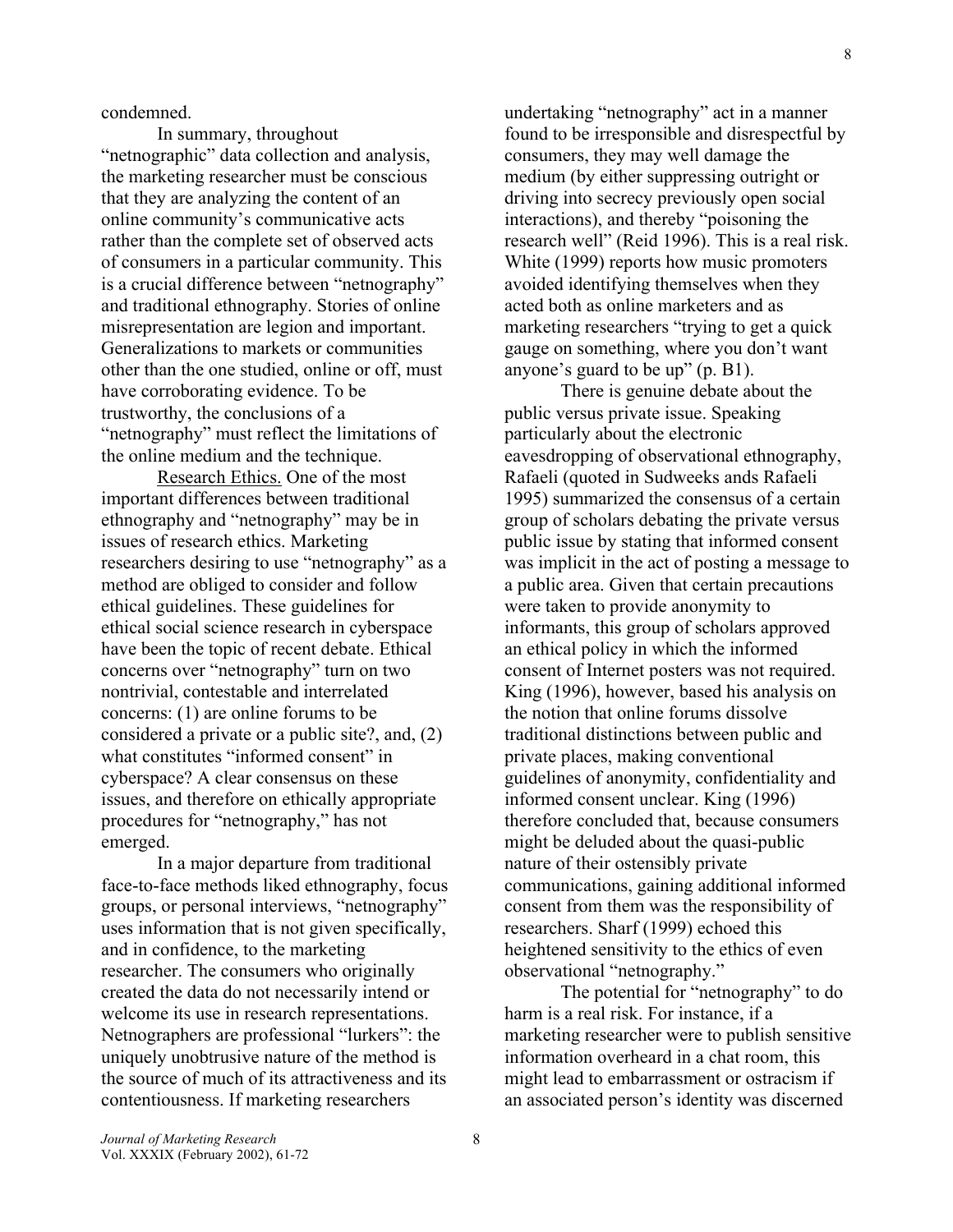condemned.

In summary, throughout "netnographic" data collection and analysis, the marketing researcher must be conscious that they are analyzing the content of an online community's communicative acts rather than the complete set of observed acts of consumers in a particular community. This is a crucial difference between "netnography" and traditional ethnography. Stories of online misrepresentation are legion and important. Generalizations to markets or communities other than the one studied, online or off, must have corroborating evidence. To be trustworthy, the conclusions of a "netnography" must reflect the limitations of the online medium and the technique.

Research Ethics. One of the most important differences between traditional ethnography and "netnography" may be in issues of research ethics. Marketing researchers desiring to use "netnography" as a method are obliged to consider and follow ethical guidelines. These guidelines for ethical social science research in cyberspace have been the topic of recent debate. Ethical concerns over "netnography" turn on two nontrivial, contestable and interrelated concerns: (1) are online forums to be considered a private or a public site?, and, (2) what constitutes "informed consent" in cyberspace? A clear consensus on these issues, and therefore on ethically appropriate procedures for "netnography," has not emerged.

In a major departure from traditional face-to-face methods liked ethnography, focus groups, or personal interviews, "netnography" uses information that is not given specifically, and in confidence, to the marketing researcher. The consumers who originally created the data do not necessarily intend or welcome its use in research representations. Netnographers are professional "lurkers": the uniquely unobtrusive nature of the method is the source of much of its attractiveness and its contentiousness. If marketing researchers

undertaking "netnography" act in a manner found to be irresponsible and disrespectful by consumers, they may well damage the medium (by either suppressing outright or driving into secrecy previously open social interactions), and thereby "poisoning the research well" (Reid 1996). This is a real risk. White (1999) reports how music promoters avoided identifying themselves when they acted both as online marketers and as marketing researchers "trying to get a quick gauge on something, where you don't want anyone's guard to be up" (p. B1).

There is genuine debate about the public versus private issue. Speaking particularly about the electronic eavesdropping of observational ethnography, Rafaeli (quoted in Sudweeks ands Rafaeli 1995) summarized the consensus of a certain group of scholars debating the private versus public issue by stating that informed consent was implicit in the act of posting a message to a public area. Given that certain precautions were taken to provide anonymity to informants, this group of scholars approved an ethical policy in which the informed consent of Internet posters was not required. King (1996), however, based his analysis on the notion that online forums dissolve traditional distinctions between public and private places, making conventional guidelines of anonymity, confidentiality and informed consent unclear. King (1996) therefore concluded that, because consumers might be deluded about the quasi-public nature of their ostensibly private communications, gaining additional informed consent from them was the responsibility of researchers. Sharf (1999) echoed this heightened sensitivity to the ethics of even observational "netnography."

The potential for "netnography" to do harm is a real risk. For instance, if a marketing researcher were to publish sensitive information overheard in a chat room, this might lead to embarrassment or ostracism if an associated person's identity was discerned

8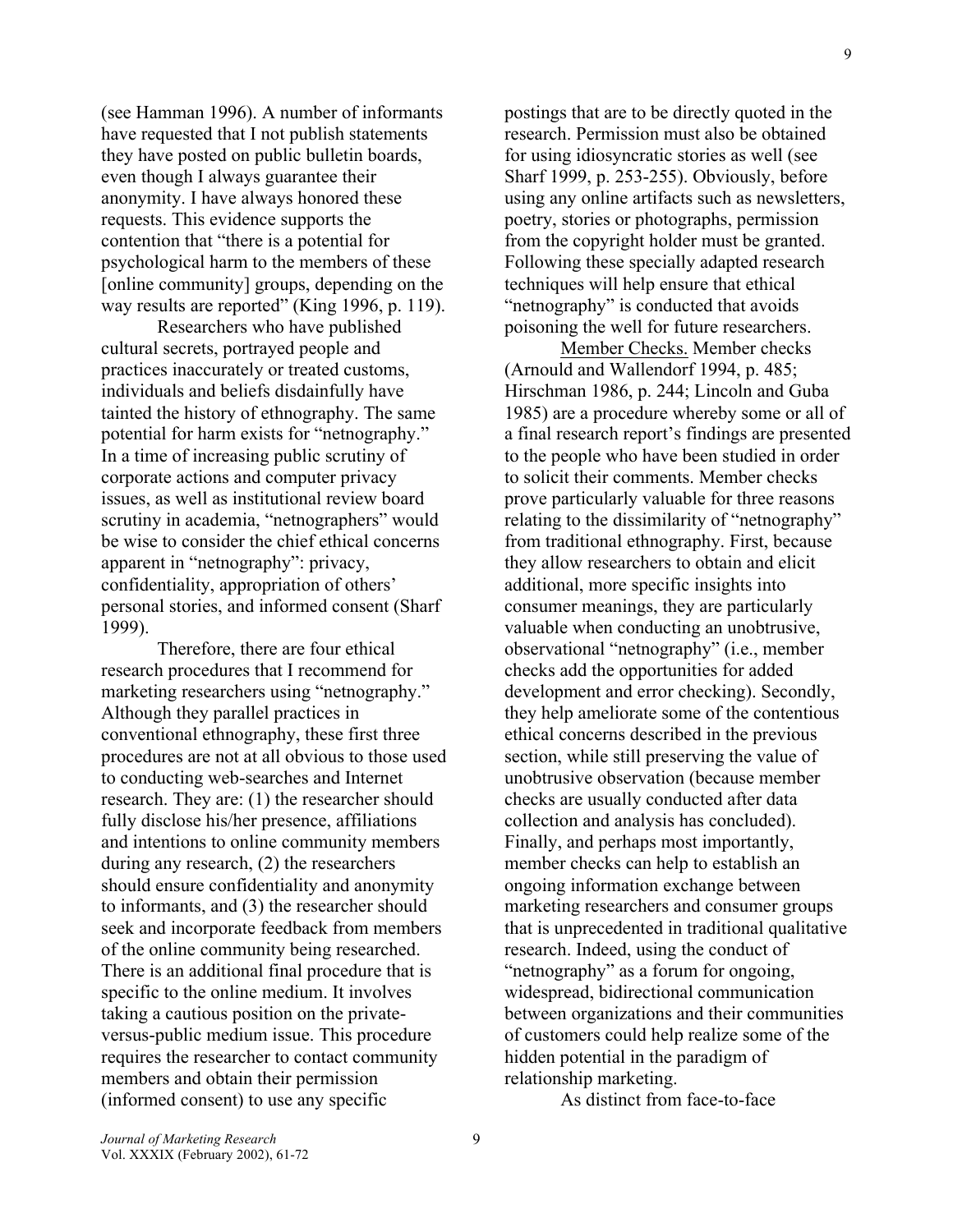(see Hamman 1996). A number of informants have requested that I not publish statements they have posted on public bulletin boards, even though I always guarantee their anonymity. I have always honored these requests. This evidence supports the contention that "there is a potential for psychological harm to the members of these [online community] groups, depending on the way results are reported" (King 1996, p. 119).

Researchers who have published cultural secrets, portrayed people and practices inaccurately or treated customs, individuals and beliefs disdainfully have tainted the history of ethnography. The same potential for harm exists for "netnography." In a time of increasing public scrutiny of corporate actions and computer privacy issues, as well as institutional review board scrutiny in academia, "netnographers" would be wise to consider the chief ethical concerns apparent in "netnography": privacy, confidentiality, appropriation of others' personal stories, and informed consent (Sharf 1999).

Therefore, there are four ethical research procedures that I recommend for marketing researchers using "netnography." Although they parallel practices in conventional ethnography, these first three procedures are not at all obvious to those used to conducting web-searches and Internet research. They are: (1) the researcher should fully disclose his/her presence, affiliations and intentions to online community members during any research, (2) the researchers should ensure confidentiality and anonymity to informants, and (3) the researcher should seek and incorporate feedback from members of the online community being researched. There is an additional final procedure that is specific to the online medium. It involves taking a cautious position on the privateversus-public medium issue. This procedure requires the researcher to contact community members and obtain their permission (informed consent) to use any specific

postings that are to be directly quoted in the research. Permission must also be obtained for using idiosyncratic stories as well (see Sharf 1999, p. 253-255). Obviously, before using any online artifacts such as newsletters, poetry, stories or photographs, permission from the copyright holder must be granted. Following these specially adapted research techniques will help ensure that ethical "netnography" is conducted that avoids poisoning the well for future researchers.

Member Checks. Member checks (Arnould and Wallendorf 1994, p. 485; Hirschman 1986, p. 244; Lincoln and Guba 1985) are a procedure whereby some or all of a final research report's findings are presented to the people who have been studied in order to solicit their comments. Member checks prove particularly valuable for three reasons relating to the dissimilarity of "netnography" from traditional ethnography. First, because they allow researchers to obtain and elicit additional, more specific insights into consumer meanings, they are particularly valuable when conducting an unobtrusive, observational "netnography" (i.e., member checks add the opportunities for added development and error checking). Secondly, they help ameliorate some of the contentious ethical concerns described in the previous section, while still preserving the value of unobtrusive observation (because member checks are usually conducted after data collection and analysis has concluded). Finally, and perhaps most importantly, member checks can help to establish an ongoing information exchange between marketing researchers and consumer groups that is unprecedented in traditional qualitative research. Indeed, using the conduct of "netnography" as a forum for ongoing, widespread, bidirectional communication between organizations and their communities of customers could help realize some of the hidden potential in the paradigm of relationship marketing.

As distinct from face-to-face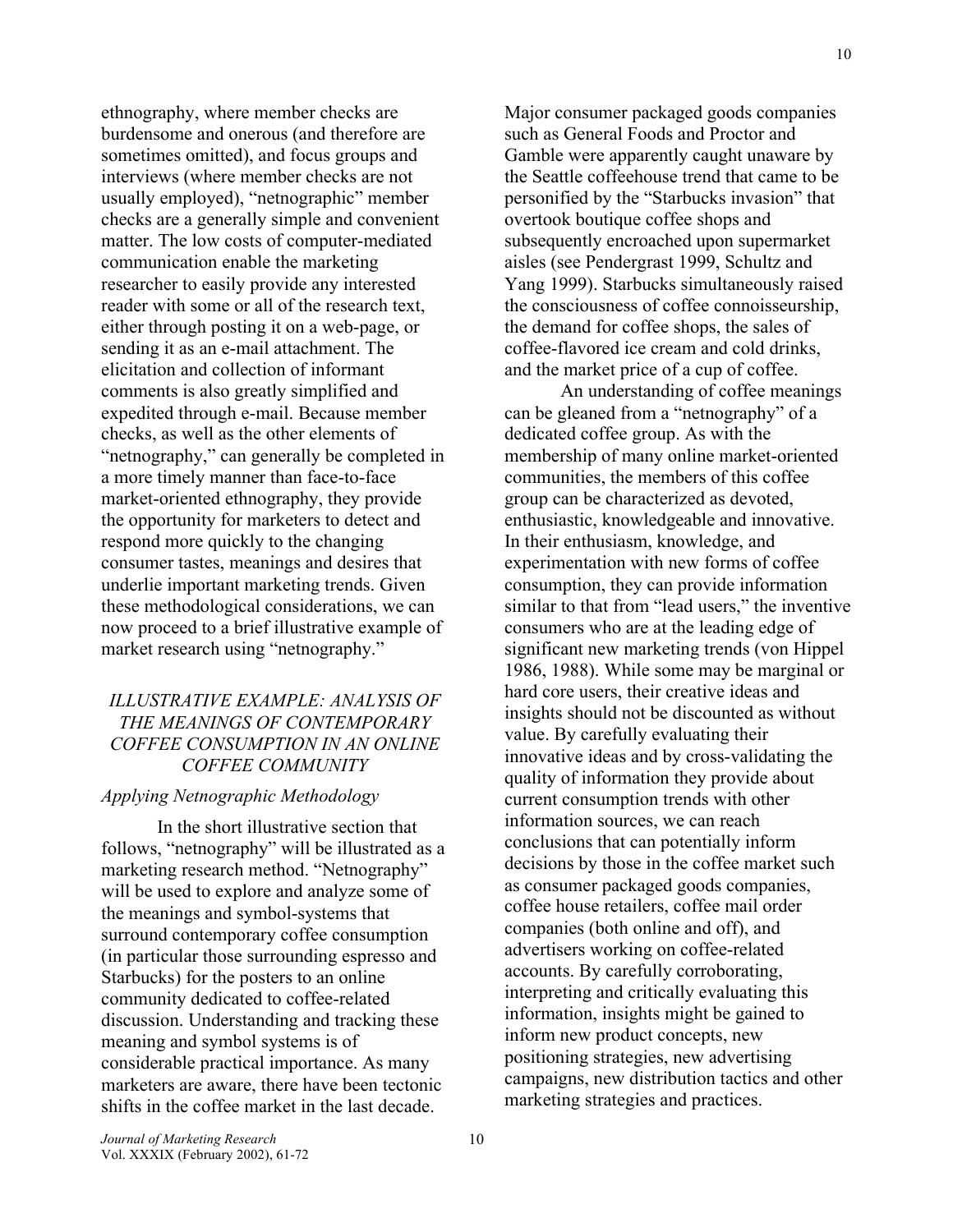ethnography, where member checks are burdensome and onerous (and therefore are sometimes omitted), and focus groups and interviews (where member checks are not usually employed), "netnographic" member checks are a generally simple and convenient matter. The low costs of computer-mediated communication enable the marketing researcher to easily provide any interested reader with some or all of the research text, either through posting it on a web-page, or sending it as an e-mail attachment. The elicitation and collection of informant comments is also greatly simplified and expedited through e-mail. Because member checks, as well as the other elements of "netnography," can generally be completed in a more timely manner than face-to-face market-oriented ethnography, they provide the opportunity for marketers to detect and respond more quickly to the changing consumer tastes, meanings and desires that underlie important marketing trends. Given these methodological considerations, we can now proceed to a brief illustrative example of market research using "netnography."

## *ILLUSTRATIVE EXAMPLE: ANALYSIS OF THE MEANINGS OF CONTEMPORARY COFFEE CONSUMPTION IN AN ONLINE COFFEE COMMUNITY*

## *Applying Netnographic Methodology*

In the short illustrative section that follows, "netnography" will be illustrated as a marketing research method. "Netnography" will be used to explore and analyze some of the meanings and symbol-systems that surround contemporary coffee consumption (in particular those surrounding espresso and Starbucks) for the posters to an online community dedicated to coffee-related discussion. Understanding and tracking these meaning and symbol systems is of considerable practical importance. As many marketers are aware, there have been tectonic shifts in the coffee market in the last decade.

Major consumer packaged goods companies such as General Foods and Proctor and Gamble were apparently caught unaware by the Seattle coffeehouse trend that came to be personified by the "Starbucks invasion" that overtook boutique coffee shops and subsequently encroached upon supermarket aisles (see Pendergrast 1999, Schultz and Yang 1999). Starbucks simultaneously raised the consciousness of coffee connoisseurship, the demand for coffee shops, the sales of coffee-flavored ice cream and cold drinks, and the market price of a cup of coffee.

An understanding of coffee meanings can be gleaned from a "netnography" of a dedicated coffee group. As with the membership of many online market-oriented communities, the members of this coffee group can be characterized as devoted, enthusiastic, knowledgeable and innovative. In their enthusiasm, knowledge, and experimentation with new forms of coffee consumption, they can provide information similar to that from "lead users," the inventive consumers who are at the leading edge of significant new marketing trends (von Hippel 1986, 1988). While some may be marginal or hard core users, their creative ideas and insights should not be discounted as without value. By carefully evaluating their innovative ideas and by cross-validating the quality of information they provide about current consumption trends with other information sources, we can reach conclusions that can potentially inform decisions by those in the coffee market such as consumer packaged goods companies, coffee house retailers, coffee mail order companies (both online and off), and advertisers working on coffee-related accounts. By carefully corroborating, interpreting and critically evaluating this information, insights might be gained to inform new product concepts, new positioning strategies, new advertising campaigns, new distribution tactics and other marketing strategies and practices.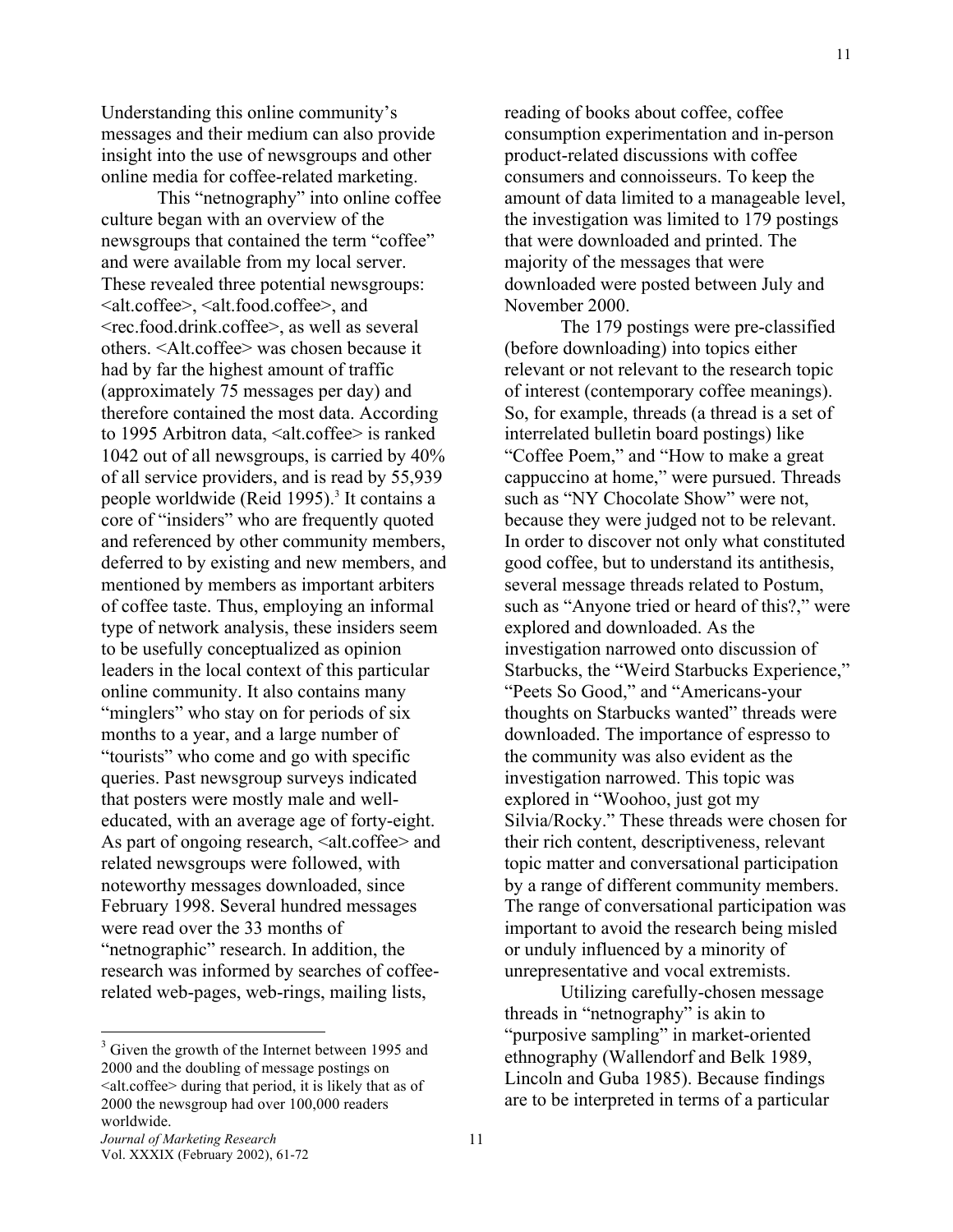Understanding this online community's messages and their medium can also provide insight into the use of newsgroups and other online media for coffee-related marketing.

This "netnography" into online coffee culture began with an overview of the newsgroups that contained the term "coffee" and were available from my local server. These revealed three potential newsgroups: <alt.coffee>, <alt.food.coffee>, and <rec.food.drink.coffee>, as well as several others. <Alt.coffee> was chosen because it had by far the highest amount of traffic (approximately 75 messages per day) and therefore contained the most data. According to 1995 Arbitron data, <alt.coffee> is ranked 1042 out of all newsgroups, is carried by 40% of all service providers, and is read by 55,939 people worldwide (Reid 1995).<sup>3</sup> It contains a core of "insiders" who are frequently quoted and referenced by other community members, deferred to by existing and new members, and mentioned by members as important arbiters of coffee taste. Thus, employing an informal type of network analysis, these insiders seem to be usefully conceptualized as opinion leaders in the local context of this particular online community. It also contains many "minglers" who stay on for periods of six" months to a year, and a large number of "tourists" who come and go with specific queries. Past newsgroup surveys indicated that posters were mostly male and welleducated, with an average age of forty-eight. As part of ongoing research,  $\leq$ alt.coffee> and related newsgroups were followed, with noteworthy messages downloaded, since February 1998. Several hundred messages were read over the 33 months of "netnographic" research. In addition, the research was informed by searches of coffeerelated web-pages, web-rings, mailing lists,

reading of books about coffee, coffee consumption experimentation and in-person product-related discussions with coffee consumers and connoisseurs. To keep the amount of data limited to a manageable level, the investigation was limited to 179 postings that were downloaded and printed. The majority of the messages that were downloaded were posted between July and November 2000.

The 179 postings were pre-classified (before downloading) into topics either relevant or not relevant to the research topic of interest (contemporary coffee meanings). So, for example, threads (a thread is a set of interrelated bulletin board postings) like "Coffee Poem," and "How to make a great cappuccino at home," were pursued. Threads such as "NY Chocolate Show" were not, because they were judged not to be relevant. In order to discover not only what constituted good coffee, but to understand its antithesis, several message threads related to Postum, such as "Anyone tried or heard of this?," were explored and downloaded. As the investigation narrowed onto discussion of Starbucks, the "Weird Starbucks Experience," "Peets So Good," and "Americans-your thoughts on Starbucks wanted" threads were downloaded. The importance of espresso to the community was also evident as the investigation narrowed. This topic was explored in "Woohoo, just got my Silvia/Rocky." These threads were chosen for their rich content, descriptiveness, relevant topic matter and conversational participation by a range of different community members. The range of conversational participation was important to avoid the research being misled or unduly influenced by a minority of unrepresentative and vocal extremists.

Utilizing carefully-chosen message threads in "netnography" is akin to "purposive sampling" in market-oriented ethnography (Wallendorf and Belk 1989, Lincoln and Guba 1985). Because findings are to be interpreted in terms of a particular

11

 $3$  Given the growth of the Internet between 1995 and 2000 and the doubling of message postings on <alt.coffee> during that period, it is likely that as of 2000 the newsgroup had over 100,000 readers worldwide.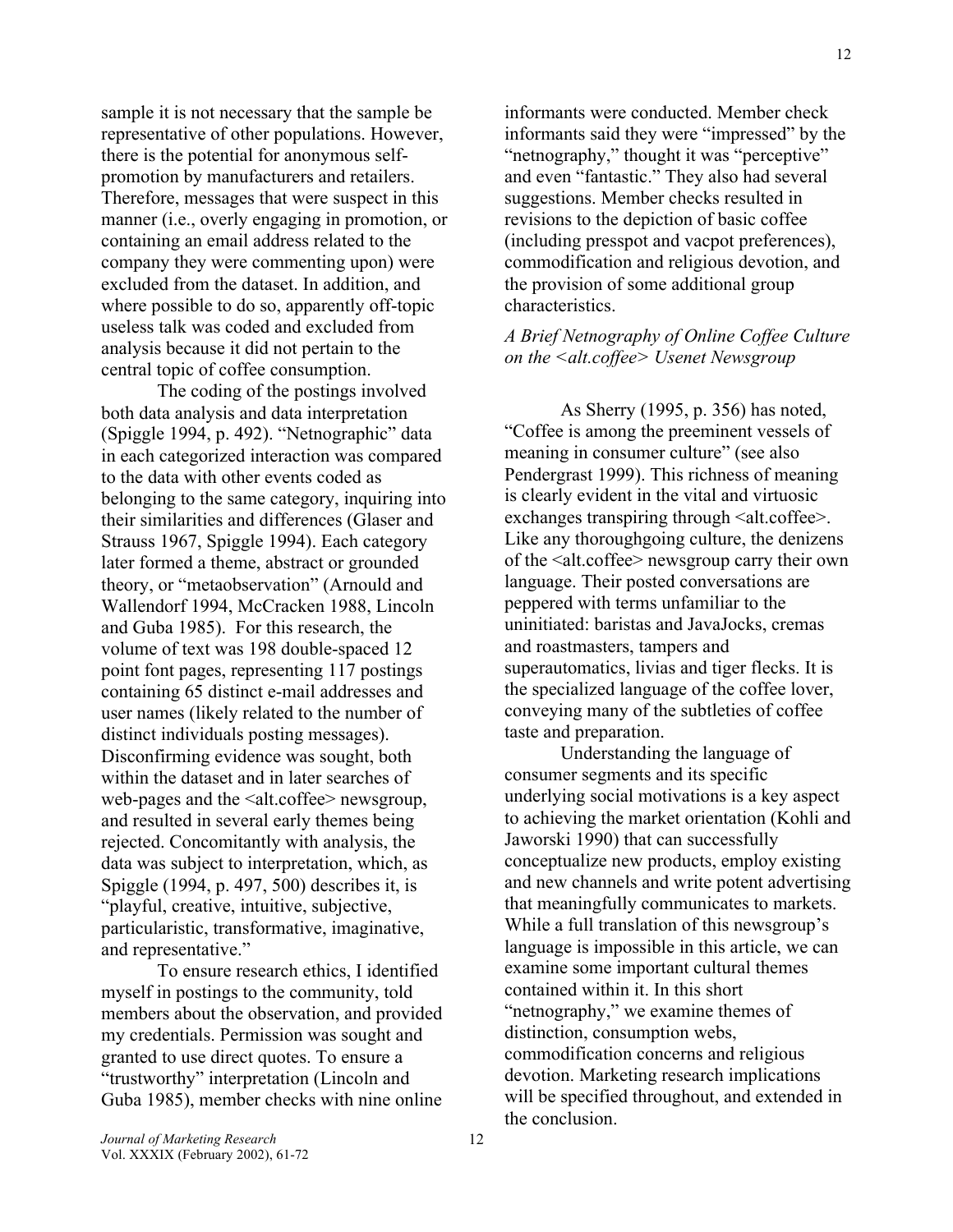sample it is not necessary that the sample be representative of other populations. However, there is the potential for anonymous selfpromotion by manufacturers and retailers. Therefore, messages that were suspect in this manner (i.e., overly engaging in promotion, or containing an email address related to the company they were commenting upon) were excluded from the dataset. In addition, and where possible to do so, apparently off-topic useless talk was coded and excluded from analysis because it did not pertain to the central topic of coffee consumption.

The coding of the postings involved both data analysis and data interpretation (Spiggle 1994, p. 492). "Netnographic" data in each categorized interaction was compared to the data with other events coded as belonging to the same category, inquiring into their similarities and differences (Glaser and Strauss 1967, Spiggle 1994). Each category later formed a theme, abstract or grounded theory, or "metaobservation" (Arnould and Wallendorf 1994, McCracken 1988, Lincoln and Guba 1985). For this research, the volume of text was 198 double-spaced 12 point font pages, representing 117 postings containing 65 distinct e-mail addresses and user names (likely related to the number of distinct individuals posting messages). Disconfirming evidence was sought, both within the dataset and in later searches of web-pages and the <alt.coffee> newsgroup, and resulted in several early themes being rejected. Concomitantly with analysis, the data was subject to interpretation, which, as Spiggle (1994, p. 497, 500) describes it, is "playful, creative, intuitive, subjective, particularistic, transformative, imaginative, and representative."

To ensure research ethics, I identified myself in postings to the community, told members about the observation, and provided my credentials. Permission was sought and granted to use direct quotes. To ensure a "trustworthy" interpretation (Lincoln and Guba 1985), member checks with nine online

informants were conducted. Member check informants said they were "impressed" by the "netnography," thought it was "perceptive" and even "fantastic." They also had several suggestions. Member checks resulted in revisions to the depiction of basic coffee (including presspot and vacpot preferences), commodification and religious devotion, and the provision of some additional group characteristics.

## *A Brief Netnography of Online Coffee Culture on the <alt.coffee> Usenet Newsgroup*

As Sherry (1995, p. 356) has noted, "Coffee is among the preeminent vessels of meaning in consumer culture" (see also Pendergrast 1999). This richness of meaning is clearly evident in the vital and virtuosic exchanges transpiring through  $\leq$ alt.coffee $\geq$ . Like any thoroughgoing culture, the denizens of the <alt.coffee> newsgroup carry their own language. Their posted conversations are peppered with terms unfamiliar to the uninitiated: baristas and JavaJocks, cremas and roastmasters, tampers and superautomatics, livias and tiger flecks. It is the specialized language of the coffee lover, conveying many of the subtleties of coffee taste and preparation.

Understanding the language of consumer segments and its specific underlying social motivations is a key aspect to achieving the market orientation (Kohli and Jaworski 1990) that can successfully conceptualize new products, employ existing and new channels and write potent advertising that meaningfully communicates to markets. While a full translation of this newsgroup's language is impossible in this article, we can examine some important cultural themes contained within it. In this short "netnography," we examine themes of distinction, consumption webs, commodification concerns and religious devotion. Marketing research implications will be specified throughout, and extended in the conclusion.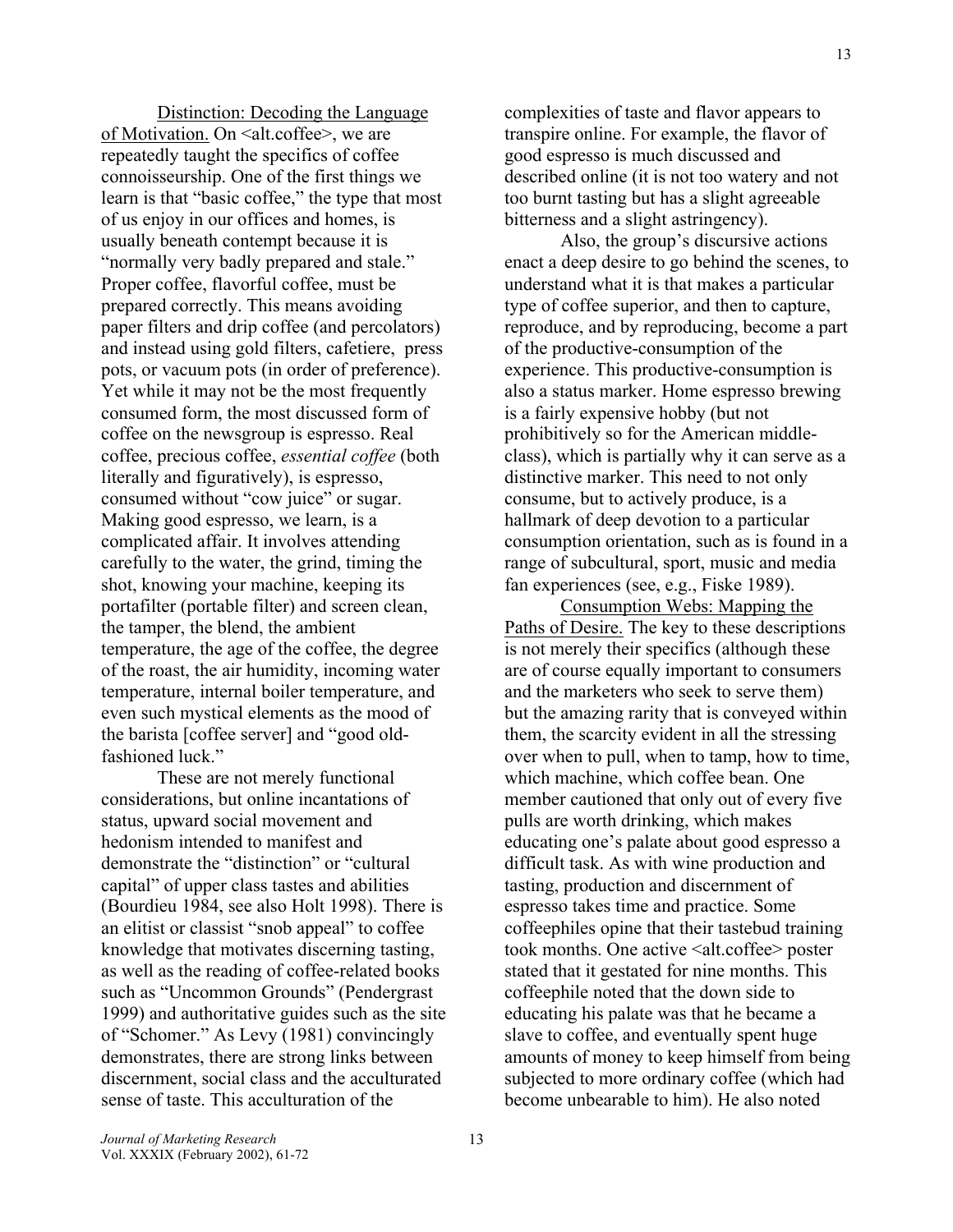Distinction: Decoding the Language of Motivation. On <alt.coffee>, we are repeatedly taught the specifics of coffee connoisseurship. One of the first things we learn is that "basic coffee," the type that most of us enjoy in our offices and homes, is usually beneath contempt because it is "normally very badly prepared and stale." Proper coffee, flavorful coffee, must be prepared correctly. This means avoiding paper filters and drip coffee (and percolators) and instead using gold filters, cafetiere, press pots, or vacuum pots (in order of preference). Yet while it may not be the most frequently consumed form, the most discussed form of coffee on the newsgroup is espresso. Real coffee, precious coffee, *essential coffee* (both literally and figuratively), is espresso, consumed without "cow juice" or sugar. Making good espresso, we learn, is a complicated affair. It involves attending carefully to the water, the grind, timing the shot, knowing your machine, keeping its portafilter (portable filter) and screen clean, the tamper, the blend, the ambient temperature, the age of the coffee, the degree of the roast, the air humidity, incoming water temperature, internal boiler temperature, and even such mystical elements as the mood of the barista [coffee server] and "good oldfashioned luck."

These are not merely functional considerations, but online incantations of status, upward social movement and hedonism intended to manifest and demonstrate the "distinction" or "cultural capital" of upper class tastes and abilities (Bourdieu 1984, see also Holt 1998). There is an elitist or classist "snob appeal" to coffee knowledge that motivates discerning tasting, as well as the reading of coffee-related books such as "Uncommon Grounds" (Pendergrast 1999) and authoritative guides such as the site of "Schomer." As Levy (1981) convincingly demonstrates, there are strong links between discernment, social class and the acculturated sense of taste. This acculturation of the

complexities of taste and flavor appears to transpire online. For example, the flavor of good espresso is much discussed and described online (it is not too watery and not too burnt tasting but has a slight agreeable bitterness and a slight astringency).

Also, the group's discursive actions enact a deep desire to go behind the scenes, to understand what it is that makes a particular type of coffee superior, and then to capture, reproduce, and by reproducing, become a part of the productive-consumption of the experience. This productive-consumption is also a status marker. Home espresso brewing is a fairly expensive hobby (but not prohibitively so for the American middleclass), which is partially why it can serve as a distinctive marker. This need to not only consume, but to actively produce, is a hallmark of deep devotion to a particular consumption orientation, such as is found in a range of subcultural, sport, music and media fan experiences (see, e.g., Fiske 1989).

Consumption Webs: Mapping the Paths of Desire. The key to these descriptions is not merely their specifics (although these are of course equally important to consumers and the marketers who seek to serve them) but the amazing rarity that is conveyed within them, the scarcity evident in all the stressing over when to pull, when to tamp, how to time, which machine, which coffee bean. One member cautioned that only out of every five pulls are worth drinking, which makes educating one's palate about good espresso a difficult task. As with wine production and tasting, production and discernment of espresso takes time and practice. Some coffeephiles opine that their tastebud training took months. One active <alt.coffee> poster stated that it gestated for nine months. This coffeephile noted that the down side to educating his palate was that he became a slave to coffee, and eventually spent huge amounts of money to keep himself from being subjected to more ordinary coffee (which had become unbearable to him). He also noted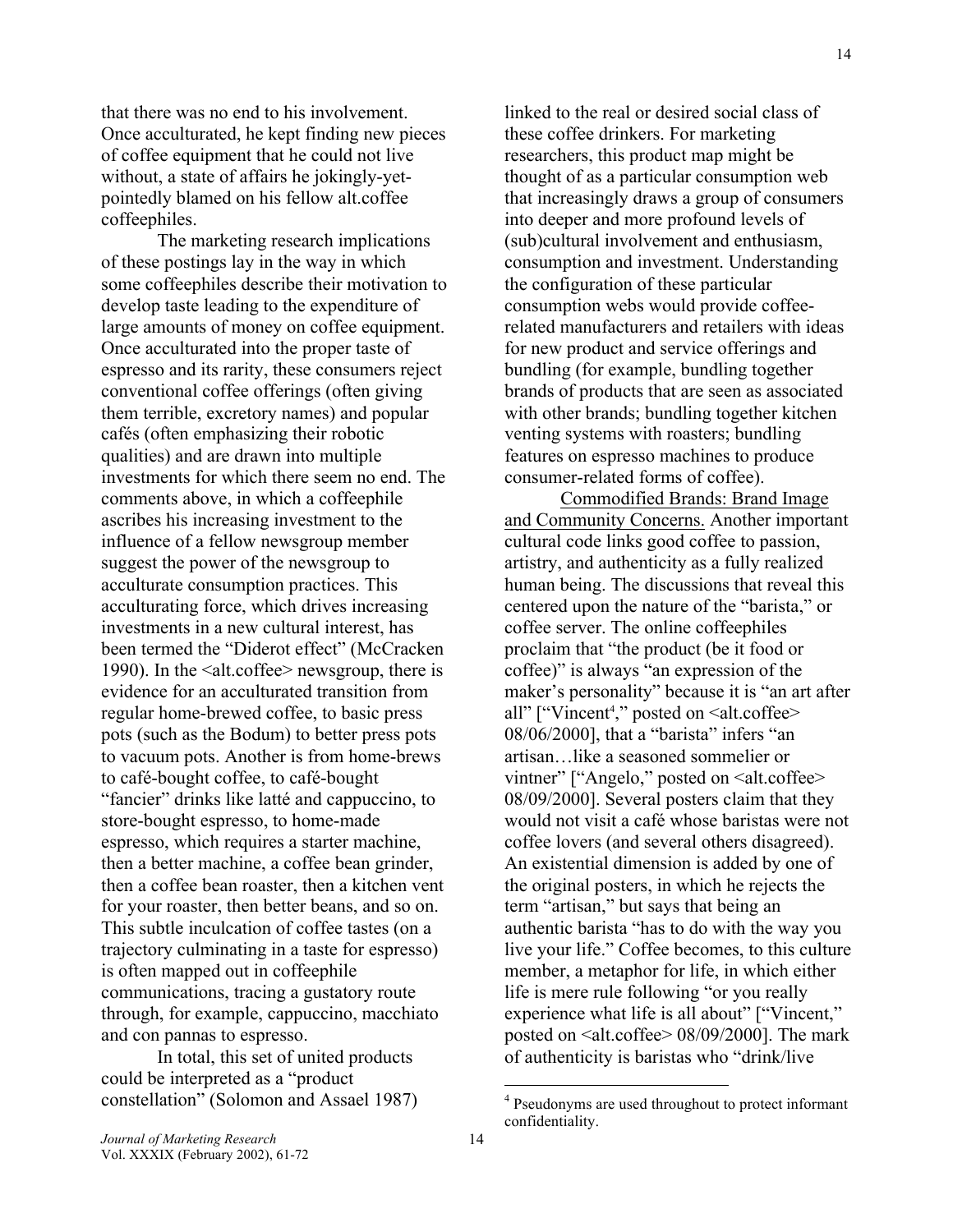that there was no end to his involvement. Once acculturated, he kept finding new pieces of coffee equipment that he could not live without, a state of affairs he jokingly-yetpointedly blamed on his fellow alt.coffee coffeephiles.

The marketing research implications of these postings lay in the way in which some coffeephiles describe their motivation to develop taste leading to the expenditure of large amounts of money on coffee equipment. Once acculturated into the proper taste of espresso and its rarity, these consumers reject conventional coffee offerings (often giving them terrible, excretory names) and popular cafés (often emphasizing their robotic qualities) and are drawn into multiple investments for which there seem no end. The comments above, in which a coffeephile ascribes his increasing investment to the influence of a fellow newsgroup member suggest the power of the newsgroup to acculturate consumption practices. This acculturating force, which drives increasing investments in a new cultural interest, has been termed the "Diderot effect" (McCracken 1990). In the <alt.coffee> newsgroup, there is evidence for an acculturated transition from regular home-brewed coffee, to basic press pots (such as the Bodum) to better press pots to vacuum pots. Another is from home-brews to café-bought coffee, to café-bought "fancier" drinks like latté and cappuccino, to store-bought espresso, to home-made espresso, which requires a starter machine, then a better machine, a coffee bean grinder, then a coffee bean roaster, then a kitchen vent for your roaster, then better beans, and so on. This subtle inculcation of coffee tastes (on a trajectory culminating in a taste for espresso) is often mapped out in coffeephile communications, tracing a gustatory route through, for example, cappuccino, macchiato and con pannas to espresso.

In total, this set of united products could be interpreted as a "product constellation" (Solomon and Assael 1987) linked to the real or desired social class of these coffee drinkers. For marketing researchers, this product map might be thought of as a particular consumption web that increasingly draws a group of consumers into deeper and more profound levels of (sub)cultural involvement and enthusiasm, consumption and investment. Understanding the configuration of these particular consumption webs would provide coffeerelated manufacturers and retailers with ideas for new product and service offerings and bundling (for example, bundling together brands of products that are seen as associated with other brands; bundling together kitchen venting systems with roasters; bundling features on espresso machines to produce consumer-related forms of coffee).

Commodified Brands: Brand Image and Community Concerns. Another important cultural code links good coffee to passion, artistry, and authenticity as a fully realized human being. The discussions that reveal this centered upon the nature of the "barista," or coffee server. The online coffeephiles proclaim that "the product (be it food or coffee)" is always "an expression of the maker's personality" because it is "an art after all" ["Vincent<sup>4</sup>," posted on  $\leq$ alt.coffee> 08/06/2000], that a "barista" infers "an artisan…like a seasoned sommelier or vintner" ["Angelo," posted on <alt.coffee> 08/09/2000]. Several posters claim that they would not visit a café whose baristas were not coffee lovers (and several others disagreed). An existential dimension is added by one of the original posters, in which he rejects the term "artisan," but says that being an authentic barista "has to do with the way you live your life." Coffee becomes, to this culture member, a metaphor for life, in which either life is mere rule following "or you really experience what life is all about" ["Vincent," posted on <alt.coffee> 08/09/2000]. The mark of authenticity is baristas who "drink/live

 <sup>4</sup> Pseudonyms are used throughout to protect informant confidentiality.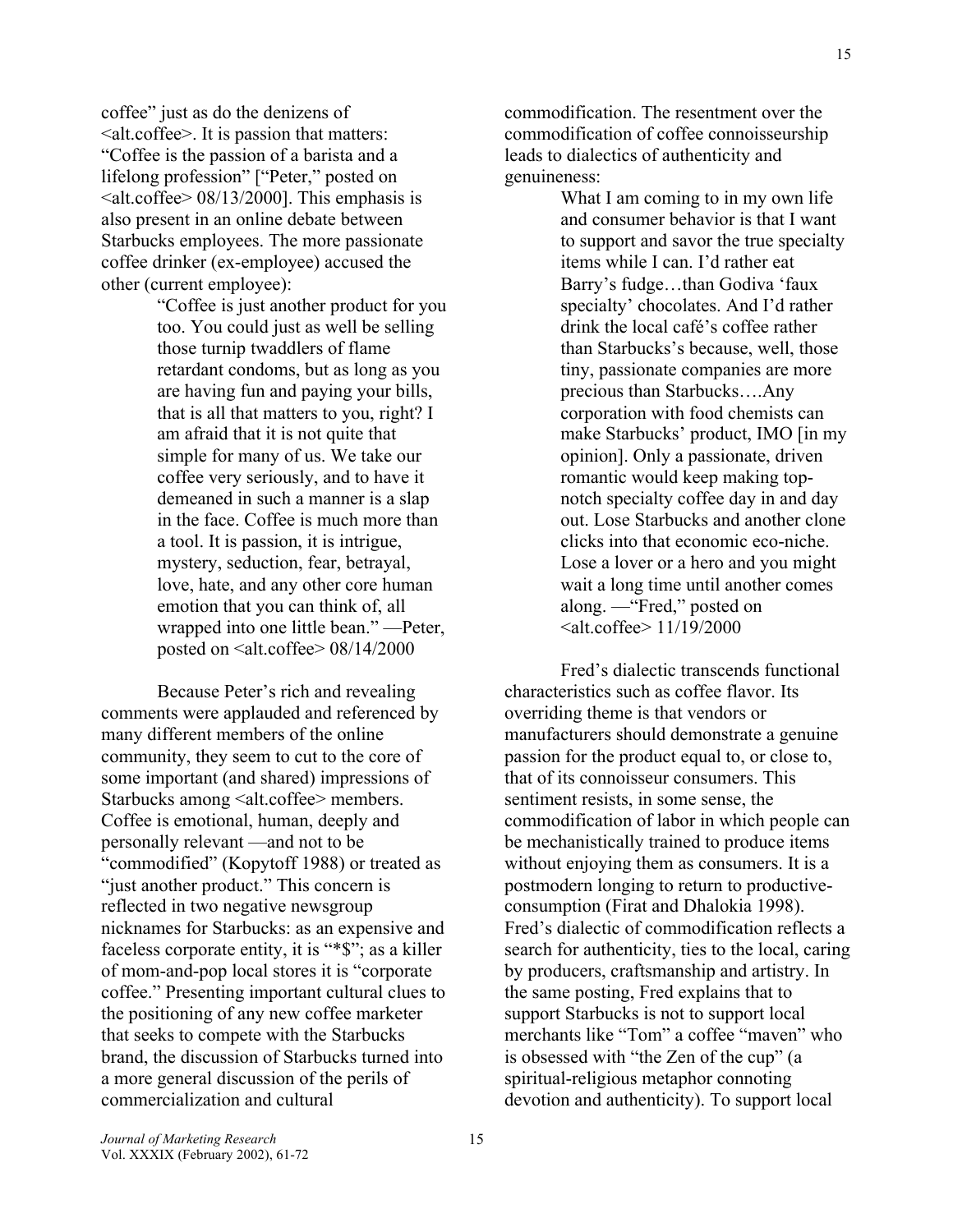coffee" just as do the denizens of <alt.coffee>. It is passion that matters: "Coffee is the passion of a barista and a lifelong profession" ["Peter," posted on  $\leq$ alt.coffee $> 08/13/2000$ ]. This emphasis is also present in an online debate between Starbucks employees. The more passionate coffee drinker (ex-employee) accused the other (current employee):

> "Coffee is just another product for you too. You could just as well be selling those turnip twaddlers of flame retardant condoms, but as long as you are having fun and paying your bills, that is all that matters to you, right? I am afraid that it is not quite that simple for many of us. We take our coffee very seriously, and to have it demeaned in such a manner is a slap in the face. Coffee is much more than a tool. It is passion, it is intrigue, mystery, seduction, fear, betrayal, love, hate, and any other core human emotion that you can think of, all wrapped into one little bean." —Peter, posted on <alt.coffee> 08/14/2000

Because Peter's rich and revealing comments were applauded and referenced by many different members of the online community, they seem to cut to the core of some important (and shared) impressions of Starbucks among <alt.coffee> members. Coffee is emotional, human, deeply and personally relevant —and not to be "commodified" (Kopytoff 1988) or treated as "just another product." This concern is reflected in two negative newsgroup nicknames for Starbucks: as an expensive and faceless corporate entity, it is "\*\$"; as a killer of mom-and-pop local stores it is "corporate coffee." Presenting important cultural clues to the positioning of any new coffee marketer that seeks to compete with the Starbucks brand, the discussion of Starbucks turned into a more general discussion of the perils of commercialization and cultural

commodification. The resentment over the commodification of coffee connoisseurship leads to dialectics of authenticity and genuineness:

> What I am coming to in my own life and consumer behavior is that I want to support and savor the true specialty items while I can. I'd rather eat Barry's fudge…than Godiva 'faux specialty' chocolates. And I'd rather drink the local café's coffee rather than Starbucks's because, well, those tiny, passionate companies are more precious than Starbucks….Any corporation with food chemists can make Starbucks' product, IMO [in my opinion]. Only a passionate, driven romantic would keep making topnotch specialty coffee day in and day out. Lose Starbucks and another clone clicks into that economic eco-niche. Lose a lover or a hero and you might wait a long time until another comes along. —"Fred," posted on  $\leq$ alt.coffee $> 11/19/2000$

Fred's dialectic transcends functional characteristics such as coffee flavor. Its overriding theme is that vendors or manufacturers should demonstrate a genuine passion for the product equal to, or close to, that of its connoisseur consumers. This sentiment resists, in some sense, the commodification of labor in which people can be mechanistically trained to produce items without enjoying them as consumers. It is a postmodern longing to return to productiveconsumption (Firat and Dhalokia 1998). Fred's dialectic of commodification reflects a search for authenticity, ties to the local, caring by producers, craftsmanship and artistry. In the same posting, Fred explains that to support Starbucks is not to support local merchants like "Tom" a coffee "maven" who is obsessed with "the Zen of the cup" (a spiritual-religious metaphor connoting devotion and authenticity). To support local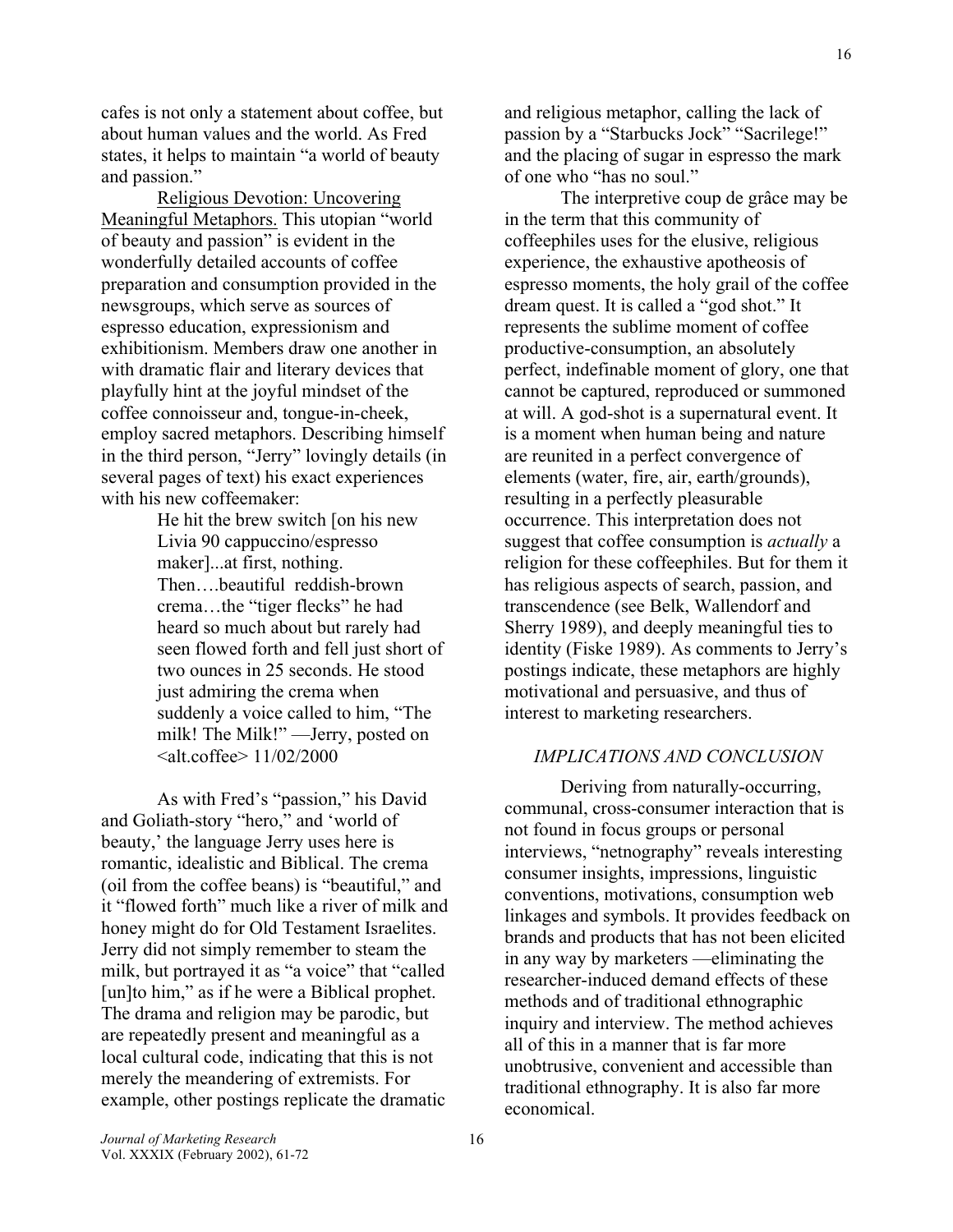cafes is not only a statement about coffee, but about human values and the world. As Fred states, it helps to maintain "a world of beauty and passion."

Religious Devotion: Uncovering Meaningful Metaphors. This utopian "world of beauty and passion" is evident in the wonderfully detailed accounts of coffee preparation and consumption provided in the newsgroups, which serve as sources of espresso education, expressionism and exhibitionism. Members draw one another in with dramatic flair and literary devices that playfully hint at the joyful mindset of the coffee connoisseur and, tongue-in-cheek, employ sacred metaphors. Describing himself in the third person, "Jerry" lovingly details (in several pages of text) his exact experiences with his new coffeemaker:

> He hit the brew switch [on his new Livia 90 cappuccino/espresso maker]...at first, nothing. Then….beautiful reddish-brown crema…the "tiger flecks" he had heard so much about but rarely had seen flowed forth and fell just short of two ounces in 25 seconds. He stood just admiring the crema when suddenly a voice called to him, "The milk! The Milk!" —Jerry, posted on  $\langle$ alt.coffee $> 11/02/2000$

As with Fred's "passion," his David and Goliath-story "hero," and 'world of beauty,' the language Jerry uses here is romantic, idealistic and Biblical. The crema (oil from the coffee beans) is "beautiful," and it "flowed forth" much like a river of milk and honey might do for Old Testament Israelites. Jerry did not simply remember to steam the milk, but portrayed it as "a voice" that "called [un]to him," as if he were a Biblical prophet. The drama and religion may be parodic, but are repeatedly present and meaningful as a local cultural code, indicating that this is not merely the meandering of extremists. For example, other postings replicate the dramatic

and religious metaphor, calling the lack of passion by a "Starbucks Jock" "Sacrilege!" and the placing of sugar in espresso the mark of one who "has no soul."

The interpretive coup de grâce may be in the term that this community of coffeephiles uses for the elusive, religious experience, the exhaustive apotheosis of espresso moments, the holy grail of the coffee dream quest. It is called a "god shot." It represents the sublime moment of coffee productive-consumption, an absolutely perfect, indefinable moment of glory, one that cannot be captured, reproduced or summoned at will. A god-shot is a supernatural event. It is a moment when human being and nature are reunited in a perfect convergence of elements (water, fire, air, earth/grounds), resulting in a perfectly pleasurable occurrence. This interpretation does not suggest that coffee consumption is *actually* a religion for these coffeephiles. But for them it has religious aspects of search, passion, and transcendence (see Belk, Wallendorf and Sherry 1989), and deeply meaningful ties to identity (Fiske 1989). As comments to Jerry's postings indicate, these metaphors are highly motivational and persuasive, and thus of interest to marketing researchers.

## *IMPLICATIONS AND CONCLUSION*

Deriving from naturally-occurring, communal, cross-consumer interaction that is not found in focus groups or personal interviews, "netnography" reveals interesting consumer insights, impressions, linguistic conventions, motivations, consumption web linkages and symbols. It provides feedback on brands and products that has not been elicited in any way by marketers —eliminating the researcher-induced demand effects of these methods and of traditional ethnographic inquiry and interview. The method achieves all of this in a manner that is far more unobtrusive, convenient and accessible than traditional ethnography. It is also far more economical.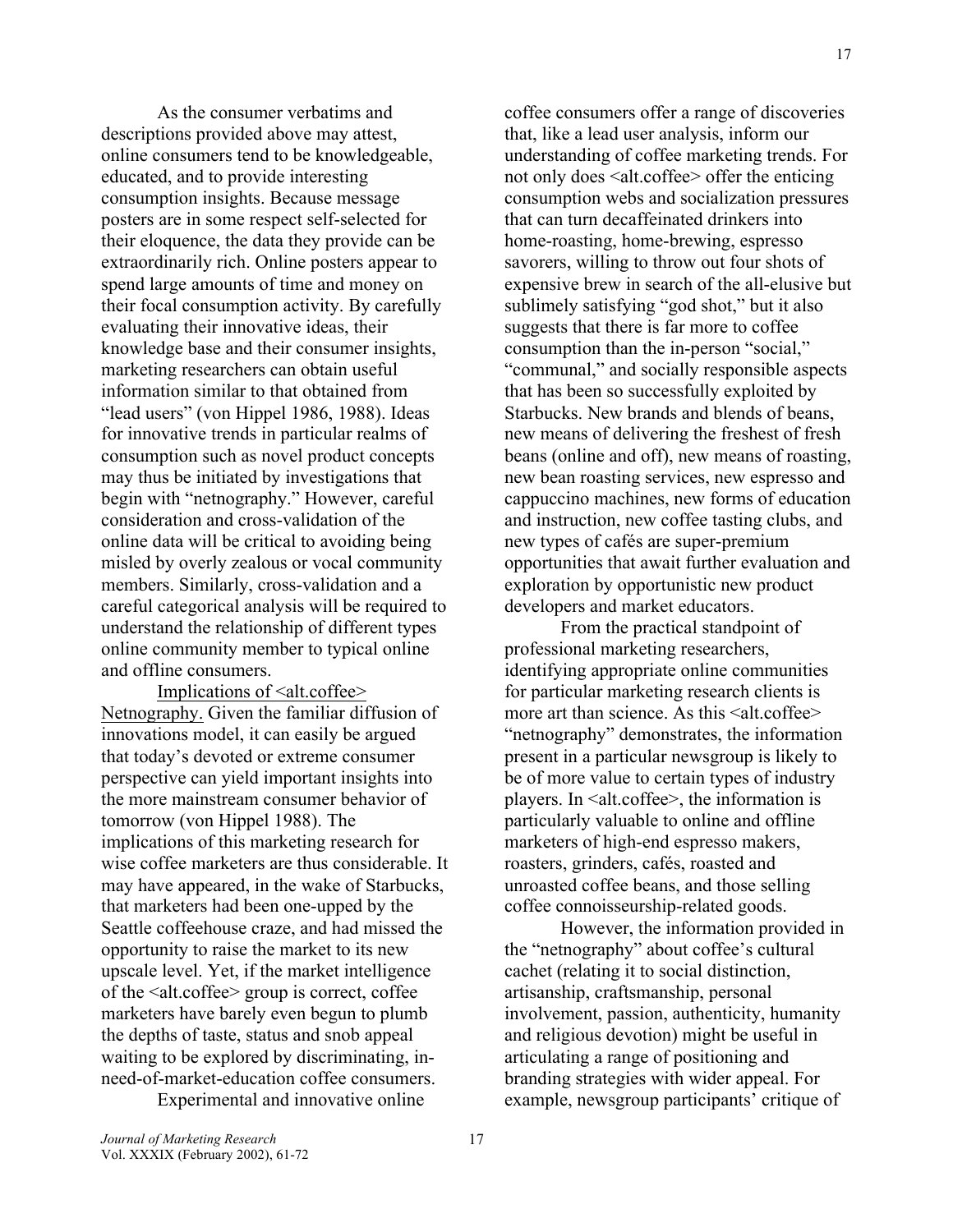As the consumer verbatims and descriptions provided above may attest, online consumers tend to be knowledgeable, educated, and to provide interesting consumption insights. Because message posters are in some respect self-selected for their eloquence, the data they provide can be extraordinarily rich. Online posters appear to spend large amounts of time and money on their focal consumption activity. By carefully evaluating their innovative ideas, their knowledge base and their consumer insights, marketing researchers can obtain useful information similar to that obtained from "lead users" (von Hippel 1986, 1988). Ideas for innovative trends in particular realms of consumption such as novel product concepts may thus be initiated by investigations that begin with "netnography." However, careful consideration and cross-validation of the online data will be critical to avoiding being misled by overly zealous or vocal community members. Similarly, cross-validation and a careful categorical analysis will be required to understand the relationship of different types online community member to typical online and offline consumers.

Implications of <alt.coffee> Netnography. Given the familiar diffusion of innovations model, it can easily be argued that today's devoted or extreme consumer perspective can yield important insights into the more mainstream consumer behavior of tomorrow (von Hippel 1988). The implications of this marketing research for wise coffee marketers are thus considerable. It may have appeared, in the wake of Starbucks, that marketers had been one-upped by the Seattle coffeehouse craze, and had missed the opportunity to raise the market to its new upscale level. Yet, if the market intelligence of the <alt.coffee> group is correct, coffee marketers have barely even begun to plumb the depths of taste, status and snob appeal waiting to be explored by discriminating, inneed-of-market-education coffee consumers. Experimental and innovative online

coffee consumers offer a range of discoveries that, like a lead user analysis, inform our understanding of coffee marketing trends. For not only does <alt.coffee> offer the enticing consumption webs and socialization pressures that can turn decaffeinated drinkers into home-roasting, home-brewing, espresso savorers, willing to throw out four shots of expensive brew in search of the all-elusive but sublimely satisfying "god shot," but it also suggests that there is far more to coffee consumption than the in-person "social," "communal," and socially responsible aspects that has been so successfully exploited by Starbucks. New brands and blends of beans, new means of delivering the freshest of fresh beans (online and off), new means of roasting, new bean roasting services, new espresso and cappuccino machines, new forms of education and instruction, new coffee tasting clubs, and new types of cafés are super-premium opportunities that await further evaluation and exploration by opportunistic new product developers and market educators.

From the practical standpoint of professional marketing researchers, identifying appropriate online communities for particular marketing research clients is more art than science. As this <alt.coffee> "netnography" demonstrates, the information present in a particular newsgroup is likely to be of more value to certain types of industry players. In  $\leq$ alt.coffee $\geq$ , the information is particularly valuable to online and offline marketers of high-end espresso makers, roasters, grinders, cafés, roasted and unroasted coffee beans, and those selling coffee connoisseurship-related goods.

However, the information provided in the "netnography" about coffee's cultural cachet (relating it to social distinction, artisanship, craftsmanship, personal involvement, passion, authenticity, humanity and religious devotion) might be useful in articulating a range of positioning and branding strategies with wider appeal. For example, newsgroup participants' critique of

*Journal of Marketing Research* Vol. XXXIX (February 2002), 61-72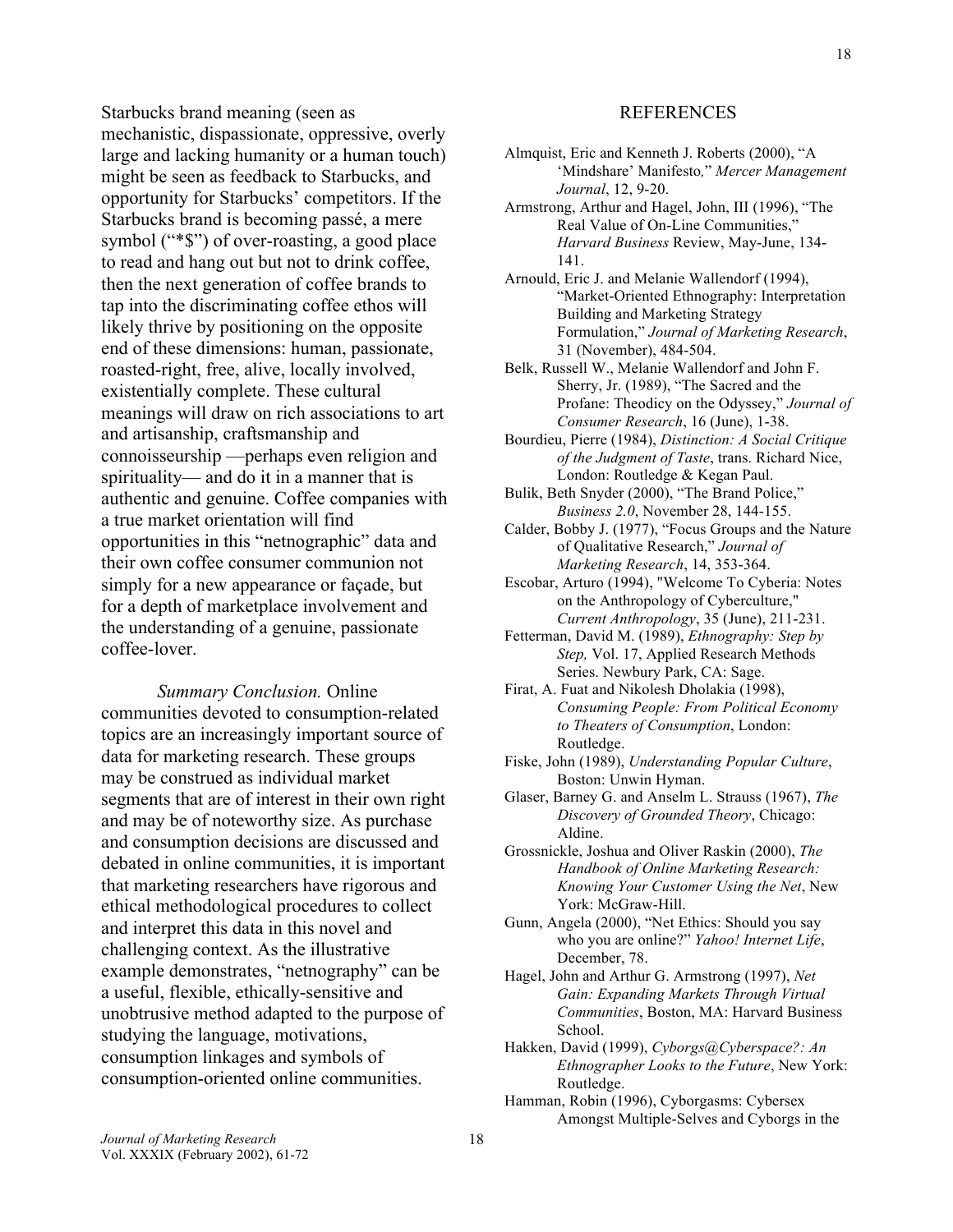Starbucks brand meaning (seen as mechanistic, dispassionate, oppressive, overly large and lacking humanity or a human touch) might be seen as feedback to Starbucks, and opportunity for Starbucks' competitors. If the Starbucks brand is becoming passé, a mere symbol ("\*\$") of over-roasting, a good place to read and hang out but not to drink coffee, then the next generation of coffee brands to tap into the discriminating coffee ethos will likely thrive by positioning on the opposite end of these dimensions: human, passionate, roasted-right, free, alive, locally involved, existentially complete. These cultural meanings will draw on rich associations to art and artisanship, craftsmanship and connoisseurship —perhaps even religion and spirituality— and do it in a manner that is authentic and genuine. Coffee companies with a true market orientation will find opportunities in this "netnographic" data and their own coffee consumer communion not simply for a new appearance or façade, but for a depth of marketplace involvement and the understanding of a genuine, passionate coffee-lover.

*Summary Conclusion.* Online communities devoted to consumption-related topics are an increasingly important source of data for marketing research. These groups may be construed as individual market segments that are of interest in their own right and may be of noteworthy size. As purchase and consumption decisions are discussed and debated in online communities, it is important that marketing researchers have rigorous and ethical methodological procedures to collect and interpret this data in this novel and challenging context. As the illustrative example demonstrates, "netnography" can be a useful, flexible, ethically-sensitive and unobtrusive method adapted to the purpose of studying the language, motivations, consumption linkages and symbols of consumption-oriented online communities.

#### REFERENCES

- Almquist, Eric and Kenneth J. Roberts (2000), "A 'Mindshare' Manifesto*,*" *Mercer Management Journal*, 12, 9-20.
- Armstrong, Arthur and Hagel, John, III (1996), "The Real Value of On-Line Communities," *Harvard Business* Review, May-June, 134- 141.
- Arnould, Eric J. and Melanie Wallendorf (1994), "Market-Oriented Ethnography: Interpretation Building and Marketing Strategy Formulation," *Journal of Marketing Research*, 31 (November), 484-504.
- Belk, Russell W., Melanie Wallendorf and John F. Sherry, Jr. (1989), "The Sacred and the Profane: Theodicy on the Odyssey," *Journal of Consumer Research*, 16 (June), 1-38.
- Bourdieu, Pierre (1984), *Distinction: A Social Critique of the Judgment of Taste*, trans. Richard Nice, London: Routledge & Kegan Paul.
- Bulik, Beth Snyder (2000), "The Brand Police," *Business 2.0*, November 28, 144-155.
- Calder, Bobby J. (1977), "Focus Groups and the Nature of Qualitative Research," *Journal of Marketing Research*, 14, 353-364.
- Escobar, Arturo (1994), "Welcome To Cyberia: Notes on the Anthropology of Cyberculture," *Current Anthropology*, 35 (June), 211-231.
- Fetterman, David M. (1989), *Ethnography: Step by Step,* Vol. 17, Applied Research Methods Series. Newbury Park, CA: Sage.
- Firat, A. Fuat and Nikolesh Dholakia (1998), *Consuming People: From Political Economy to Theaters of Consumption*, London: Routledge.
- Fiske, John (1989), *Understanding Popular Culture*, Boston: Unwin Hyman.
- Glaser, Barney G. and Anselm L. Strauss (1967), *The Discovery of Grounded Theory*, Chicago: Aldine.
- Grossnickle, Joshua and Oliver Raskin (2000), *The Handbook of Online Marketing Research: Knowing Your Customer Using the Net*, New York: McGraw-Hill.
- Gunn, Angela (2000), "Net Ethics: Should you say who you are online?" *Yahoo! Internet Life*, December, 78.
- Hagel, John and Arthur G. Armstrong (1997), *Net Gain: Expanding Markets Through Virtual Communities*, Boston, MA: Harvard Business School.
- Hakken, David (1999), *Cyborgs@Cyberspace?: An Ethnographer Looks to the Future*, New York: Routledge.
- Hamman, Robin (1996), Cyborgasms: Cybersex Amongst Multiple-Selves and Cyborgs in the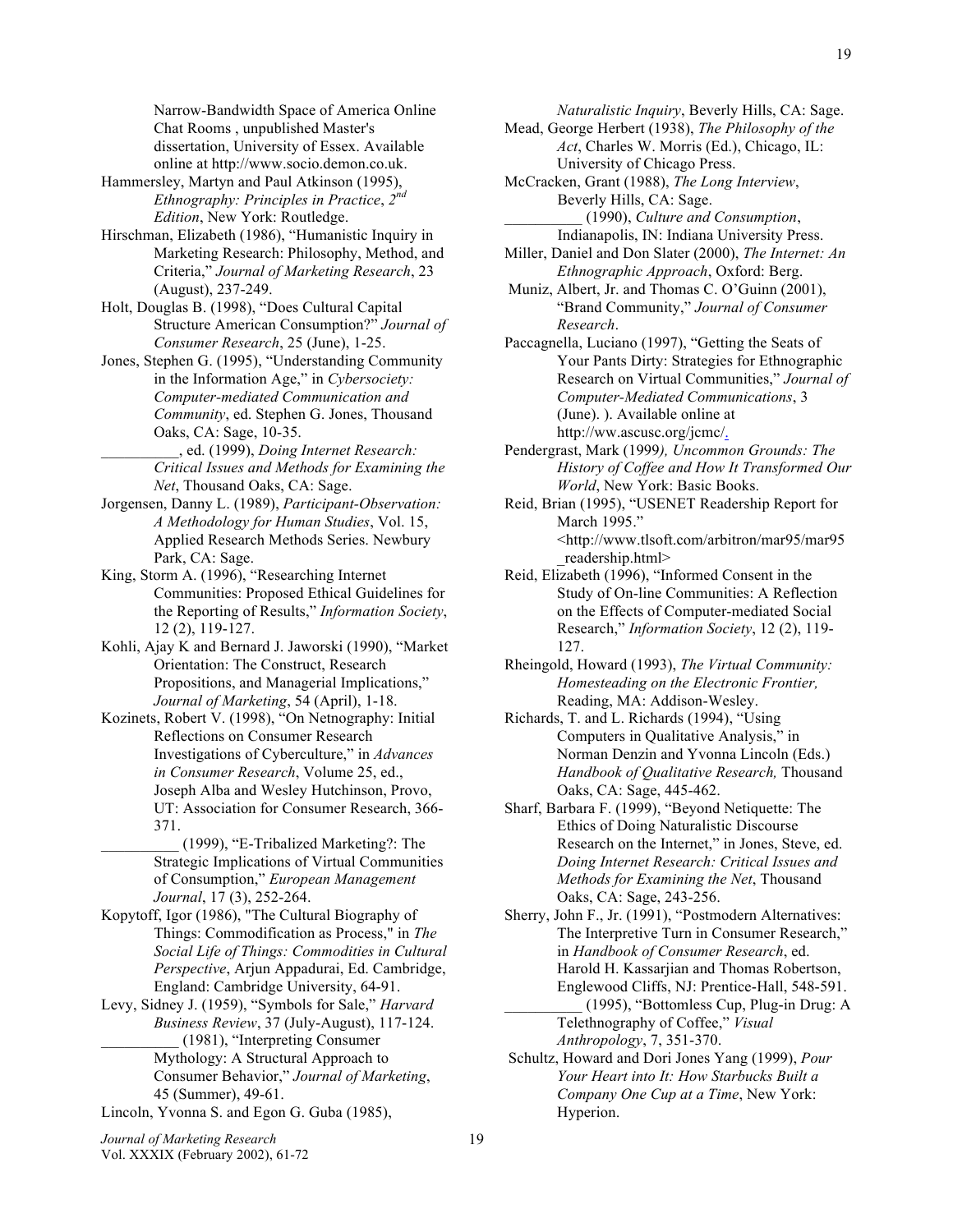Narrow-Bandwidth Space of America Online Chat Rooms , unpublished Master's dissertation, University of Essex. Available online at http://www.socio.demon.co.uk.

- Hammersley, Martyn and Paul Atkinson (1995), *Ethnography: Principles in Practice*, *2nd Edition*, New York: Routledge.
- Hirschman, Elizabeth (1986), "Humanistic Inquiry in Marketing Research: Philosophy, Method, and Criteria," *Journal of Marketing Research*, 23 (August), 237-249.
- Holt, Douglas B. (1998), "Does Cultural Capital Structure American Consumption?" *Journal of Consumer Research*, 25 (June), 1-25.
- Jones, Stephen G. (1995), "Understanding Community in the Information Age," in *Cybersociety: Computer-mediated Communication and Community*, ed. Stephen G. Jones, Thousand Oaks, CA: Sage, 10-35.
	- \_\_\_\_\_\_\_\_\_\_, ed. (1999), *Doing Internet Research: Critical Issues and Methods for Examining the Net*, Thousand Oaks, CA: Sage.
- Jorgensen, Danny L. (1989), *Participant-Observation: A Methodology for Human Studies*, Vol. 15, Applied Research Methods Series. Newbury Park, CA: Sage.
- King, Storm A. (1996), "Researching Internet Communities: Proposed Ethical Guidelines for the Reporting of Results," *Information Society*, 12 (2), 119-127.
- Kohli, Ajay K and Bernard J. Jaworski (1990), "Market Orientation: The Construct, Research Propositions, and Managerial Implications," *Journal of Marketing*, 54 (April), 1-18.
- Kozinets, Robert V. (1998), "On Netnography: Initial Reflections on Consumer Research Investigations of Cyberculture," in *Advances in Consumer Research*, Volume 25, ed., Joseph Alba and Wesley Hutchinson, Provo, UT: Association for Consumer Research, 366- 371.
	- \_\_\_\_\_\_\_\_\_\_ (1999), "E-Tribalized Marketing?: The Strategic Implications of Virtual Communities of Consumption," *European Management Journal*, 17 (3), 252-264.
- Kopytoff, Igor (1986), "The Cultural Biography of Things: Commodification as Process," in *The Social Life of Things: Commodities in Cultural Perspective*, Arjun Appadurai, Ed. Cambridge, England: Cambridge University, 64-91.
- Levy, Sidney J. (1959), "Symbols for Sale," *Harvard Business Review*, 37 (July-August), 117-124. \_\_\_\_\_\_\_\_\_\_ (1981), "Interpreting Consumer Mythology: A Structural Approach to Consumer Behavior," *Journal of Marketing*, 45 (Summer), 49-61.
- Lincoln, Yvonna S. and Egon G. Guba (1985),

*Naturalistic Inquiry*, Beverly Hills, CA: Sage.

- Mead, George Herbert (1938), *The Philosophy of the Act*, Charles W. Morris (Ed.), Chicago, IL: University of Chicago Press.
- McCracken, Grant (1988), *The Long Interview*, Beverly Hills, CA: Sage. \_\_\_\_\_\_\_\_\_\_ (1990), *Culture and Consumption*, Indianapolis, IN: Indiana University Press.
- Miller, Daniel and Don Slater (2000), *The Internet: An Ethnographic Approach*, Oxford: Berg.
- Muniz, Albert, Jr. and Thomas C. O'Guinn (2001), "Brand Community," *Journal of Consumer Research*.
- Paccagnella, Luciano (1997), "Getting the Seats of Your Pants Dirty: Strategies for Ethnographic Research on Virtual Communities," *Journal of Computer-Mediated Communications*, 3 (June). ). Available online at http://ww.ascusc.org/jcmc/.
- Pendergrast, Mark (1999*), Uncommon Grounds: The History of Coffee and How It Transformed Our World*, New York: Basic Books.
- Reid, Brian (1995), "USENET Readership Report for March 1995." <http://www.tlsoft.com/arbitron/mar95/mar95
- \_readership.html> Reid, Elizabeth (1996), "Informed Consent in the Study of On-line Communities: A Reflection on the Effects of Computer-mediated Social Research," *Information Society*, 12 (2), 119- 127.
- Rheingold, Howard (1993), *The Virtual Community: Homesteading on the Electronic Frontier,* Reading, MA: Addison-Wesley.
- Richards, T. and L. Richards (1994), "Using Computers in Qualitative Analysis," in Norman Denzin and Yvonna Lincoln (Eds.) *Handbook of Qualitative Research,* Thousand Oaks, CA: Sage, 445-462.
- Sharf, Barbara F. (1999), "Beyond Netiquette: The Ethics of Doing Naturalistic Discourse Research on the Internet," in Jones, Steve, ed. *Doing Internet Research: Critical Issues and Methods for Examining the Net*, Thousand Oaks, CA: Sage, 243-256.
- Sherry, John F., Jr. (1991), "Postmodern Alternatives: The Interpretive Turn in Consumer Research," in *Handbook of Consumer Research*, ed. Harold H. Kassarjian and Thomas Robertson, Englewood Cliffs, NJ: Prentice-Hall, 548-591.
	- \_\_\_\_\_\_\_\_\_\_ (1995), "Bottomless Cup, Plug-in Drug: A Telethnography of Coffee," *Visual Anthropology*, 7, 351-370.
- Schultz, Howard and Dori Jones Yang (1999), *Pour Your Heart into It: How Starbucks Built a Company One Cup at a Time*, New York: Hyperion.